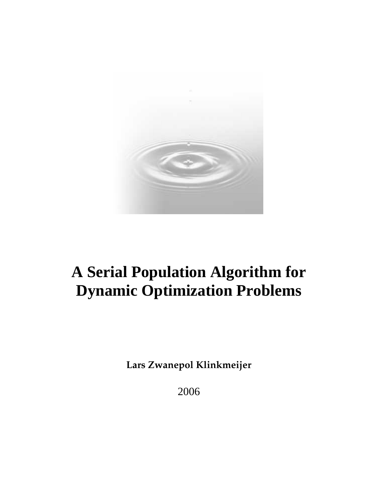

# **A Serial Population Algorithm for Dynamic Optimization Problems**

**Lars Zwanepol Klinkmeijer**

2006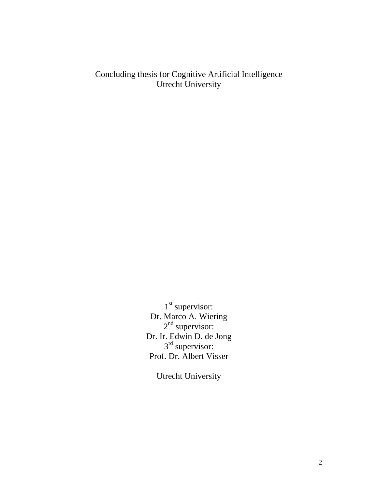Concluding thesis for Cognitive Artificial Intelligence Utrecht University

> 1<sup>st</sup> supervisor: Dr. Marco A. Wiering 2<sup>nd</sup> supervisor: Dr. Ir. Edwin D. de Jong 3<sup>rd</sup> supervisor: Prof. Dr. Albert Visser

> > Utrecht University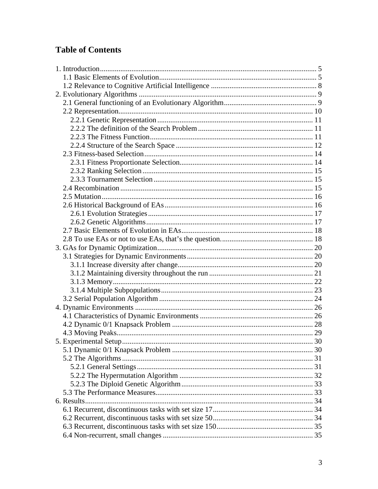## **Table of Contents**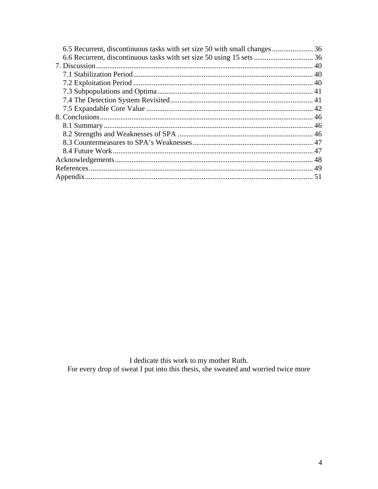I dedicate this work to my mother Ruth.<br>For every drop of sweat I put into this thesis, she sweated and worried twice more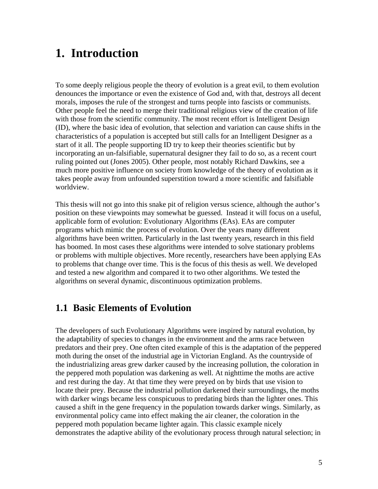# **1. Introduction**

To some deeply religious people the theory of evolution is a great evil, to them evolution denounces the importance or even the existence of God and, with that, destroys all decent morals, imposes the rule of the strongest and turns people into fascists or communists. Other people feel the need to merge their traditional religious view of the creation of life with those from the scientific community. The most recent effort is Intelligent Design (ID), where the basic idea of evolution, that selection and variation can cause shifts in the characteristics of a population is accepted but still calls for an Intelligent Designer as a start of it all. The people supporting ID try to keep their theories scientific but by incorporating an un-falsifiable, supernatural designer they fail to do so, as a recent court ruling pointed out (Jones 2005). Other people, most notably Richard Dawkins, see a much more positive influence on society from knowledge of the theory of evolution as it takes people away from unfounded superstition toward a more scientific and falsifiable worldview.

This thesis will not go into this snake pit of religion versus science, although the author's position on these viewpoints may somewhat be guessed. Instead it will focus on a useful, applicable form of evolution: Evolutionary Algorithms (EAs). EAs are computer programs which mimic the process of evolution. Over the years many different algorithms have been written. Particularly in the last twenty years, research in this field has boomed. In most cases these algorithms were intended to solve stationary problems or problems with multiple objectives. More recently, researchers have been applying EAs to problems that change over time. This is the focus of this thesis as well. We developed and tested a new algorithm and compared it to two other algorithms. We tested the algorithms on several dynamic, discontinuous optimization problems.

### **1.1 Basic Elements of Evolution**

The developers of such Evolutionary Algorithms were inspired by natural evolution, by the adaptability of species to changes in the environment and the arms race between predators and their prey. One often cited example of this is the adaptation of the peppered moth during the onset of the industrial age in Victorian England. As the countryside of the industrializing areas grew darker caused by the increasing pollution, the coloration in the peppered moth population was darkening as well. At nighttime the moths are active and rest during the day. At that time they were preyed on by birds that use vision to locate their prey. Because the industrial pollution darkened their surroundings, the moths with darker wings became less conspicuous to predating birds than the lighter ones. This caused a shift in the gene frequency in the population towards darker wings. Similarly, as environmental policy came into effect making the air cleaner, the coloration in the peppered moth population became lighter again. This classic example nicely demonstrates the adaptive ability of the evolutionary process through natural selection; in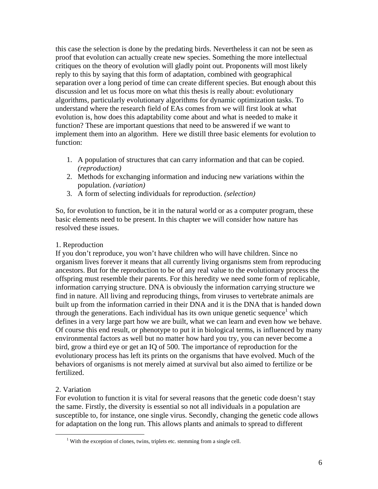this case the selection is done by the predating birds. Nevertheless it can not be seen as proof that evolution can actually create new species. Something the more intellectual critiques on the theory of evolution will gladly point out. Proponents will most likely reply to this by saying that this form of adaptation, combined with geographical separation over a long period of time can create different species. But enough about this discussion and let us focus more on what this thesis is really about: evolutionary algorithms, particularly evolutionary algorithms for dynamic optimization tasks. To understand where the research field of EAs comes from we will first look at what evolution is, how does this adaptability come about and what is needed to make it function? These are important questions that need to be answered if we want to implement them into an algorithm. Here we distill three basic elements for evolution to function:

- 1. A population of structures that can carry information and that can be copied. *(reproduction)*
- 2. Methods for exchanging information and inducing new variations within the population. *(variation)*
- 3. A form of selecting individuals for reproduction. *(selection)*

So, for evolution to function, be it in the natural world or as a computer program, these basic elements need to be present. In this chapter we will consider how nature has resolved these issues.

#### 1. Reproduction

If you don't reproduce, you won't have children who will have children. Since no organism lives forever it means that all currently living organisms stem from reproducing ancestors. But for the reproduction to be of any real value to the evolutionary process the offspring must resemble their parents. For this heredity we need some form of replicable, information carrying structure. DNA is obviously the information carrying structure we find in nature. All living and reproducing things, from viruses to vertebrate animals are built up from the information carried in their DNA and it is the DNA that is handed down through the generations. Each individual has its own unique genetic sequence<sup>1</sup> which defines in a very large part how we are built, what we can learn and even how we behave. Of course this end result, or phenotype to put it in biological terms, is influenced by many environmental factors as well but no matter how hard you try, you can never become a bird, grow a third eye or get an IQ of 500. The importance of reproduction for the evolutionary process has left its prints on the organisms that have evolved. Much of the behaviors of organisms is not merely aimed at survival but also aimed to fertilize or be fertilized.

#### 2. Variation

 $\overline{a}$ 

For evolution to function it is vital for several reasons that the genetic code doesn't stay the same. Firstly, the diversity is essential so not all individuals in a population are susceptible to, for instance, one single virus. Secondly, changing the genetic code allows for adaptation on the long run. This allows plants and animals to spread to different

<sup>&</sup>lt;sup>1</sup> With the exception of clones, twins, triplets etc. stemming from a single cell.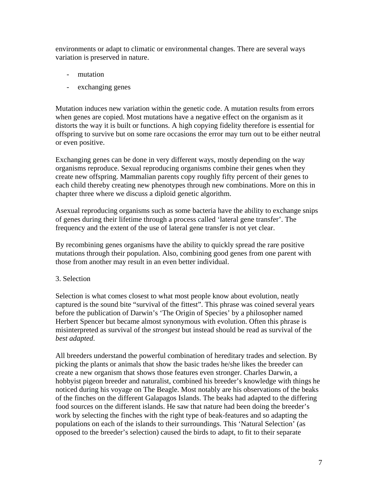environments or adapt to climatic or environmental changes. There are several ways variation is preserved in nature.

- mutation
- exchanging genes

Mutation induces new variation within the genetic code. A mutation results from errors when genes are copied. Most mutations have a negative effect on the organism as it distorts the way it is built or functions. A high copying fidelity therefore is essential for offspring to survive but on some rare occasions the error may turn out to be either neutral or even positive.

Exchanging genes can be done in very different ways, mostly depending on the way organisms reproduce. Sexual reproducing organisms combine their genes when they create new offspring. Mammalian parents copy roughly fifty percent of their genes to each child thereby creating new phenotypes through new combinations. More on this in chapter three where we discuss a diploid genetic algorithm.

Asexual reproducing organisms such as some bacteria have the ability to exchange snips of genes during their lifetime through a process called 'lateral gene transfer'. The frequency and the extent of the use of lateral gene transfer is not yet clear.

By recombining genes organisms have the ability to quickly spread the rare positive mutations through their population. Also, combining good genes from one parent with those from another may result in an even better individual.

#### 3. Selection

Selection is what comes closest to what most people know about evolution, neatly captured is the sound bite "survival of the fittest". This phrase was coined several years before the publication of Darwin's 'The Origin of Species' by a philosopher named Herbert Spencer but became almost synonymous with evolution. Often this phrase is misinterpreted as survival of the *strongest* but instead should be read as survival of the *best adapted*.

All breeders understand the powerful combination of hereditary trades and selection. By picking the plants or animals that show the basic trades he/she likes the breeder can create a new organism that shows those features even stronger. Charles Darwin, a hobbyist pigeon breeder and naturalist, combined his breeder's knowledge with things he noticed during his voyage on The Beagle. Most notably are his observations of the beaks of the finches on the different Galapagos Islands. The beaks had adapted to the differing food sources on the different islands. He saw that nature had been doing the breeder's work by selecting the finches with the right type of beak-features and so adapting the populations on each of the islands to their surroundings. This 'Natural Selection' (as opposed to the breeder's selection) caused the birds to adapt, to fit to their separate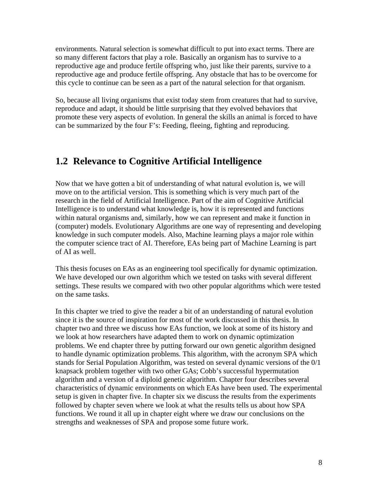environments. Natural selection is somewhat difficult to put into exact terms. There are so many different factors that play a role. Basically an organism has to survive to a reproductive age and produce fertile offspring who, just like their parents, survive to a reproductive age and produce fertile offspring. Any obstacle that has to be overcome for this cycle to continue can be seen as a part of the natural selection for that organism.

So, because all living organisms that exist today stem from creatures that had to survive, reproduce and adapt, it should be little surprising that they evolved behaviors that promote these very aspects of evolution. In general the skills an animal is forced to have can be summarized by the four F's: Feeding, fleeing, fighting and reproducing.

### **1.2 Relevance to Cognitive Artificial Intelligence**

Now that we have gotten a bit of understanding of what natural evolution is, we will move on to the artificial version. This is something which is very much part of the research in the field of Artificial Intelligence. Part of the aim of Cognitive Artificial Intelligence is to understand what knowledge is, how it is represented and functions within natural organisms and, similarly, how we can represent and make it function in (computer) models. Evolutionary Algorithms are one way of representing and developing knowledge in such computer models. Also, Machine learning plays a major role within the computer science tract of AI. Therefore, EAs being part of Machine Learning is part of AI as well.

This thesis focuses on EAs as an engineering tool specifically for dynamic optimization. We have developed our own algorithm which we tested on tasks with several different settings. These results we compared with two other popular algorithms which were tested on the same tasks.

In this chapter we tried to give the reader a bit of an understanding of natural evolution since it is the source of inspiration for most of the work discussed in this thesis. In chapter two and three we discuss how EAs function, we look at some of its history and we look at how researchers have adapted them to work on dynamic optimization problems. We end chapter three by putting forward our own genetic algorithm designed to handle dynamic optimization problems. This algorithm, with the acronym SPA which stands for Serial Population Algorithm, was tested on several dynamic versions of the 0/1 knapsack problem together with two other GAs; Cobb's successful hypermutation algorithm and a version of a diploid genetic algorithm. Chapter four describes several characteristics of dynamic environments on which EAs have been used. The experimental setup is given in chapter five. In chapter six we discuss the results from the experiments followed by chapter seven where we look at what the results tells us about how SPA functions. We round it all up in chapter eight where we draw our conclusions on the strengths and weaknesses of SPA and propose some future work.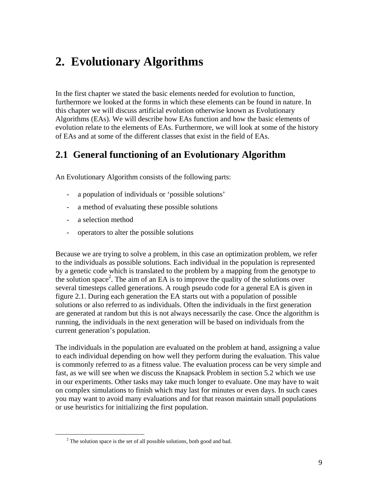# **2. Evolutionary Algorithms**

In the first chapter we stated the basic elements needed for evolution to function, furthermore we looked at the forms in which these elements can be found in nature. In this chapter we will discuss artificial evolution otherwise known as Evolutionary Algorithms (EAs). We will describe how EAs function and how the basic elements of evolution relate to the elements of EAs. Furthermore, we will look at some of the history of EAs and at some of the different classes that exist in the field of EAs.

# **2.1 General functioning of an Evolutionary Algorithm**

An Evolutionary Algorithm consists of the following parts:

- a population of individuals or 'possible solutions'
- a method of evaluating these possible solutions
- a selection method

 $\overline{a}$ 

- operators to alter the possible solutions

Because we are trying to solve a problem, in this case an optimization problem, we refer to the individuals as possible solutions. Each individual in the population is represented by a genetic code which is translated to the problem by a mapping from the genotype to the solution space<sup>2</sup>. The aim of an EA is to improve the quality of the solutions over several timesteps called generations. A rough pseudo code for a general EA is given in figure 2.1. During each generation the EA starts out with a population of possible solutions or also referred to as individuals. Often the individuals in the first generation are generated at random but this is not always necessarily the case. Once the algorithm is running, the individuals in the next generation will be based on individuals from the current generation's population.

The individuals in the population are evaluated on the problem at hand, assigning a value to each individual depending on how well they perform during the evaluation. This value is commonly referred to as a fitness value. The evaluation process can be very simple and fast, as we will see when we discuss the Knapsack Problem in section 5.2 which we use in our experiments. Other tasks may take much longer to evaluate. One may have to wait on complex simulations to finish which may last for minutes or even days. In such cases you may want to avoid many evaluations and for that reason maintain small populations or use heuristics for initializing the first population.

 $2^2$  The solution space is the set of all possible solutions, both good and bad.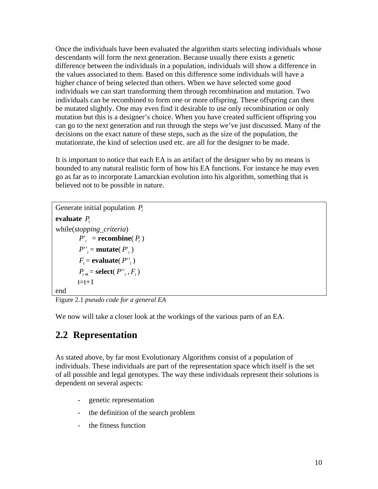Once the individuals have been evaluated the algorithm starts selecting individuals whose descendants will form the next generation. Because usually there exists a genetic difference between the individuals in a population, individuals will show a difference in the values associated to them. Based on this difference some individuals will have a higher chance of being selected than others. When we have selected some good individuals we can start transforming them through recombination and mutation. Two individuals can be recombined to form one or more offspring. These offspring can then be mutated slightly. One may even find it desirable to use only recombination or only mutation but this is a designer's choice. When you have created sufficient offspring you can go to the next generation and run through the steps we've just discussed. Many of the decisions on the exact nature of these steps, such as the size of the population, the mutationrate, the kind of selection used etc. are all for the designer to be made.

It is important to notice that each EA is an artifact of the designer who by no means is bounded to any natural realistic form of how his EA functions. For instance he may even go as far as to incorporate Lamarckian evolution into his algorithm, something that is believed not to be possible in nature.

```
Generate initial population Pt
evaluate Pt
while(stopping_criteria) 
           P'_{t} = recombine(P_{t})P''_t = \text{mutate}( P'_t)F_t = \textbf{evaluate}( P^{\prime\prime}_t)P_{t+1} = select(P_{t}<sup>t</sup>, F_{t})
          t=t+1end
```
Figure 2.1 *pseudo code for a general EA*

We now will take a closer look at the workings of the various parts of an EA.

# **2.2 Representation**

As stated above, by far most Evolutionary Algorithms consist of a population of individuals. These individuals are part of the representation space which itself is the set of all possible and legal genotypes. The way these individuals represent their solutions is dependent on several aspects:

- genetic representation
- the definition of the search problem
- the fitness function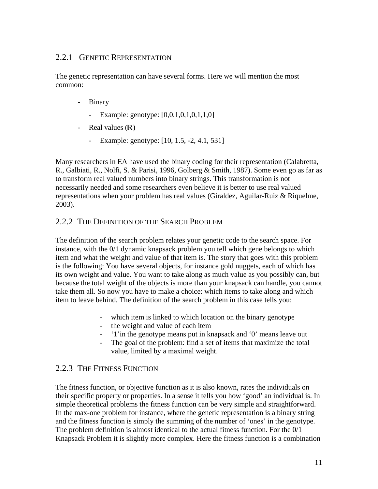#### 2.2.1 GENETIC REPRESENTATION

The genetic representation can have several forms. Here we will mention the most common:

- Binary
	- Example: genotype: [0,0,1,0,1,0,1,1,0]
- Real values  $(R)$ 
	- Example: genotype: [10, 1.5, -2, 4.1, 531]

Many researchers in EA have used the binary coding for their representation (Calabretta, R., Galbiati, R., Nolfi, S. & Parisi, 1996, Golberg & Smith, 1987). Some even go as far as to transform real valued numbers into binary strings. This transformation is not necessarily needed and some researchers even believe it is better to use real valued representations when your problem has real values (Giraldez, Aguilar-Ruiz & Riquelme, 2003).

#### 2.2.2 THE DEFINITION OF THE SEARCH PROBLEM

The definition of the search problem relates your genetic code to the search space. For instance, with the 0/1 dynamic knapsack problem you tell which gene belongs to which item and what the weight and value of that item is. The story that goes with this problem is the following: You have several objects, for instance gold nuggets, each of which has its own weight and value. You want to take along as much value as you possibly can, but because the total weight of the objects is more than your knapsack can handle, you cannot take them all. So now you have to make a choice: which items to take along and which item to leave behind. The definition of the search problem in this case tells you:

- which item is linked to which location on the binary genotype
- the weight and value of each item
- '1'in the genotype means put in knapsack and '0' means leave out
- The goal of the problem: find a set of items that maximize the total value, limited by a maximal weight.

### 2.2.3 THE FITNESS FUNCTION

The fitness function, or objective function as it is also known, rates the individuals on their specific property or properties. In a sense it tells you how 'good' an individual is. In simple theoretical problems the fitness function can be very simple and straightforward. In the max-one problem for instance, where the genetic representation is a binary string and the fitness function is simply the summing of the number of 'ones' in the genotype. The problem definition is almost identical to the actual fitness function. For the  $0/1$ Knapsack Problem it is slightly more complex. Here the fitness function is a combination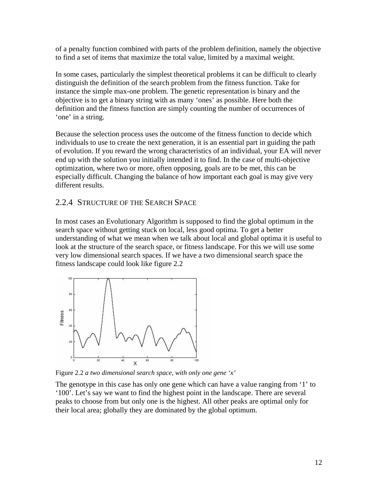of a penalty function combined with parts of the problem definition, namely the objective to find a set of items that maximize the total value, limited by a maximal weight.

In some cases, particularly the simplest theoretical problems it can be difficult to clearly distinguish the definition of the search problem from the fitness function. Take for instance the simple max-one problem. The genetic representation is binary and the objective is to get a binary string with as many 'ones' as possible. Here both the definition and the fitness function are simply counting the number of occurrences of 'one' in a string.

Because the selection process uses the outcome of the fitness function to decide which individuals to use to create the next generation, it is an essential part in guiding the path of evolution. If you reward the wrong characteristics of an individual, your EA will never end up with the solution you initially intended it to find. In the case of multi-objective optimization, where two or more, often opposing, goals are to be met, this can be especially difficult. Changing the balance of how important each goal is may give very different results.

#### 2.2.4 STRUCTURE OF THE SEARCH SPACE

In most cases an Evolutionary Algorithm is supposed to find the global optimum in the search space without getting stuck on local, less good optima. To get a better understanding of what we mean when we talk about local and global optima it is useful to look at the structure of the search space, or fitness landscape. For this we will use some very low dimensional search spaces. If we have a two dimensional search space the fitness landscape could look like figure 2.2



Figure 2.2 *a two dimensional search space, with only one gene 'x'*

The genotype in this case has only one gene which can have a value ranging from '1' to '100'. Let's say we want to find the highest point in the landscape. There are several peaks to choose from but only one is the highest. All other peaks are optimal only for their local area; globally they are dominated by the global optimum.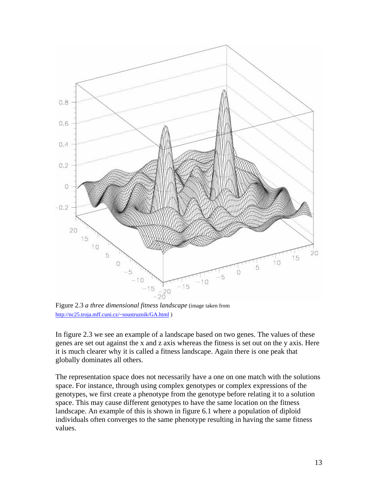

Figure 2.3 *a three dimensional fitness landscape* (image taken from http://nc25.troja.mff.cuni.cz/~soustruznik/GA.html )

In figure 2.3 we see an example of a landscape based on two genes. The values of these genes are set out against the x and z axis whereas the fitness is set out on the y axis. Here it is much clearer why it is called a fitness landscape. Again there is one peak that globally dominates all others.

The representation space does not necessarily have a one on one match with the solutions space. For instance, through using complex genotypes or complex expressions of the genotypes, we first create a phenotype from the genotype before relating it to a solution space. This may cause different genotypes to have the same location on the fitness landscape. An example of this is shown in figure 6.1 where a population of diploid individuals often converges to the same phenotype resulting in having the same fitness values.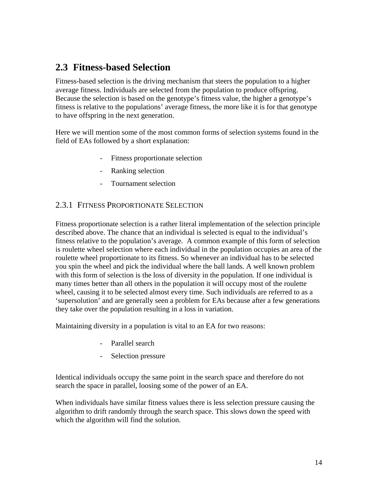## **2.3 Fitness-based Selection**

Fitness-based selection is the driving mechanism that steers the population to a higher average fitness. Individuals are selected from the population to produce offspring. Because the selection is based on the genotype's fitness value, the higher a genotype's fitness is relative to the populations' average fitness, the more like it is for that genotype to have offspring in the next generation.

Here we will mention some of the most common forms of selection systems found in the field of EAs followed by a short explanation:

- Fitness proportionate selection
- Ranking selection
- Tournament selection

#### 2.3.1 FITNESS PROPORTIONATE SELECTION

Fitness proportionate selection is a rather literal implementation of the selection principle described above. The chance that an individual is selected is equal to the individual's fitness relative to the population's average. A common example of this form of selection is roulette wheel selection where each individual in the population occupies an area of the roulette wheel proportionate to its fitness. So whenever an individual has to be selected you spin the wheel and pick the individual where the ball lands. A well known problem with this form of selection is the loss of diversity in the population. If one individual is many times better than all others in the population it will occupy most of the roulette wheel, causing it to be selected almost every time. Such individuals are referred to as a 'supersolution' and are generally seen a problem for EAs because after a few generations they take over the population resulting in a loss in variation.

Maintaining diversity in a population is vital to an EA for two reasons:

- Parallel search
- Selection pressure

Identical individuals occupy the same point in the search space and therefore do not search the space in parallel, loosing some of the power of an EA.

When individuals have similar fitness values there is less selection pressure causing the algorithm to drift randomly through the search space. This slows down the speed with which the algorithm will find the solution.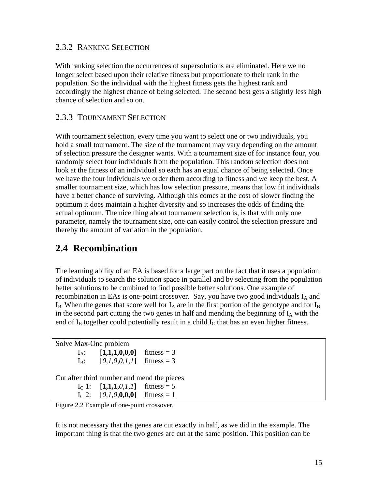#### 2.3.2 RANKING SELECTION

With ranking selection the occurrences of supersolutions are eliminated. Here we no longer select based upon their relative fitness but proportionate to their rank in the population. So the individual with the highest fitness gets the highest rank and accordingly the highest chance of being selected. The second best gets a slightly less high chance of selection and so on.

#### 2.3.3 TOURNAMENT SELECTION

With tournament selection, every time you want to select one or two individuals, you hold a small tournament. The size of the tournament may vary depending on the amount of selection pressure the designer wants. With a tournament size of for instance four, you randomly select four individuals from the population. This random selection does not look at the fitness of an individual so each has an equal chance of being selected. Once we have the four individuals we order them according to fitness and we keep the best. A smaller tournament size, which has low selection pressure, means that low fit individuals have a better chance of surviving. Although this comes at the cost of slower finding the optimum it does maintain a higher diversity and so increases the odds of finding the actual optimum. The nice thing about tournament selection is, is that with only one parameter, namely the tournament size, one can easily control the selection pressure and thereby the amount of variation in the population.

## **2.4 Recombination**

The learning ability of an EA is based for a large part on the fact that it uses a population of individuals to search the solution space in parallel and by selecting from the population better solutions to be combined to find possible better solutions. One example of recombination in EAs is one-point crossover. Say, you have two good individuals  $I_A$  and  $I_B$ . When the genes that score well for  $I_A$  are in the first portion of the genotype and for  $I_B$ in the second part cutting the two genes in half and mending the beginning of  $I_A$  with the end of  $I_B$  together could potentially result in a child  $I_C$  that has an even higher fitness.

Solve Max-One problem  $I_A$ :  $[1,1,1,0,0,0]$  fitness = 3  $I_B$ :  $[0,1,0,0,1,1]$  fitness = 3 Cut after third number and mend the pieces I<sub>C</sub> 1:  $[1,1,1,0,1,1]$  fitness = 5  $I_c$  2:  $[0,1,0,0,0,0]$  fitness = 1

Figure 2.2 Example of one-point crossover.

It is not necessary that the genes are cut exactly in half, as we did in the example. The important thing is that the two genes are cut at the same position. This position can be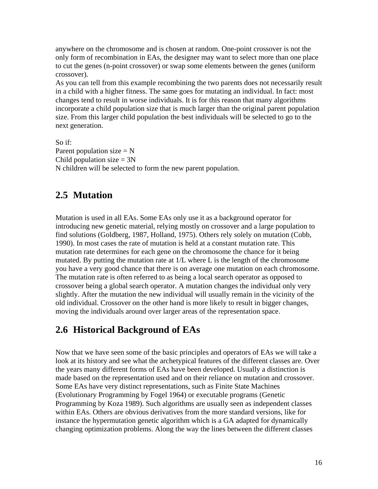anywhere on the chromosome and is chosen at random. One-point crossover is not the only form of recombination in EAs, the designer may want to select more than one place to cut the genes (n-point crossover) or swap some elements between the genes (uniform crossover).

As you can tell from this example recombining the two parents does not necessarily result in a child with a higher fitness. The same goes for mutating an individual. In fact: most changes tend to result in worse individuals. It is for this reason that many algorithms incorporate a child population size that is much larger than the original parent population size. From this larger child population the best individuals will be selected to go to the next generation.

So if: Parent population size  $= N$ Child population size  $= 3N$ N children will be selected to form the new parent population.

## **2.5 Mutation**

Mutation is used in all EAs. Some EAs only use it as a background operator for introducing new genetic material, relying mostly on crossover and a large population to find solutions (Goldberg, 1987, Holland, 1975). Others rely solely on mutation (Cobb, 1990). In most cases the rate of mutation is held at a constant mutation rate. This mutation rate determines for each gene on the chromosome the chance for it being mutated. By putting the mutation rate at  $1/L$  where L is the length of the chromosome you have a very good chance that there is on average one mutation on each chromosome. The mutation rate is often referred to as being a local search operator as opposed to crossover being a global search operator. A mutation changes the individual only very slightly. After the mutation the new individual will usually remain in the vicinity of the old individual. Crossover on the other hand is more likely to result in bigger changes, moving the individuals around over larger areas of the representation space.

### **2.6 Historical Background of EAs**

Now that we have seen some of the basic principles and operators of EAs we will take a look at its history and see what the archetypical features of the different classes are. Over the years many different forms of EAs have been developed. Usually a distinction is made based on the representation used and on their reliance on mutation and crossover. Some EAs have very distinct representations, such as Finite State Machines (Evolutionary Programming by Fogel 1964) or executable programs (Genetic Programming by Koza 1989). Such algorithms are usually seen as independent classes within EAs. Others are obvious derivatives from the more standard versions, like for instance the hypermutation genetic algorithm which is a GA adapted for dynamically changing optimization problems. Along the way the lines between the different classes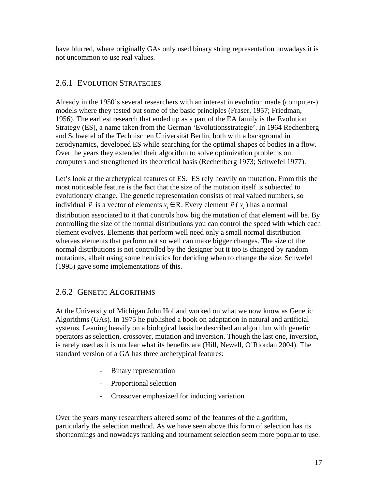have blurred, where originally GAs only used binary string representation nowadays it is not uncommon to use real values.

### 2.6.1 EVOLUTION STRATEGIES

Already in the 1950's several researchers with an interest in evolution made (computer-) models where they tested out some of the basic principles (Fraser, 1957; Friedman, 1956). The earliest research that ended up as a part of the EA family is the Evolution Strategy (ES), a name taken from the German 'Evolutionsstrategie'. In 1964 Rechenberg and Schwefel of the Technischen Universität Berlin, both with a background in aerodynamics, developed ES while searching for the optimal shapes of bodies in a flow. Over the years they extended their algorithm to solve optimization problems on computers and strengthened its theoretical basis (Rechenberg 1973; Schwefel 1977).

Let's look at the archetypical features of ES. ES rely heavily on mutation. From this the most noticeable feature is the fact that the size of the mutation itself is subjected to evolutionary change. The genetic representation consists of real valued numbers, so individual  $\vec{v}$  is a vector of elements  $x_i \in \mathbb{R}$ . Every element  $\vec{v}$  ( $x_i$ ) has a normal distribution associated to it that controls how big the mutation of that element will be. By controlling the size of the normal distributions you can control the speed with which each element evolves. Elements that perform well need only a small normal distribution whereas elements that perform not so well can make bigger changes. The size of the normal distributions is not controlled by the designer but it too is changed by random mutations, albeit using some heuristics for deciding when to change the size. Schwefel (1995) gave some implementations of this.

### 2.6.2 GENETIC ALGORITHMS

At the University of Michigan John Holland worked on what we now know as Genetic Algorithms (GAs). In 1975 he published a book on adaptation in natural and artificial systems. Leaning heavily on a biological basis he described an algorithm with genetic operators as selection, crossover, mutation and inversion. Though the last one, inversion, is rarely used as it is unclear what its benefits are (Hill, Newell, O'Riordan 2004). The standard version of a GA has three archetypical features:

- Binary representation
- Proportional selection
- Crossover emphasized for inducing variation

Over the years many researchers altered some of the features of the algorithm, particularly the selection method. As we have seen above this form of selection has its shortcomings and nowadays ranking and tournament selection seem more popular to use.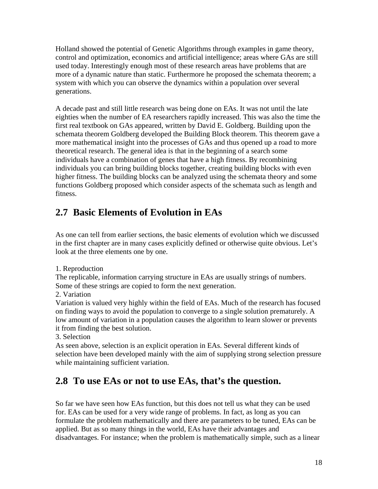Holland showed the potential of Genetic Algorithms through examples in game theory, control and optimization, economics and artificial intelligence; areas where GAs are still used today. Interestingly enough most of these research areas have problems that are more of a dynamic nature than static. Furthermore he proposed the schemata theorem; a system with which you can observe the dynamics within a population over several generations.

A decade past and still little research was being done on EAs. It was not until the late eighties when the number of EA researchers rapidly increased. This was also the time the first real textbook on GAs appeared, written by David E. Goldberg. Building upon the schemata theorem Goldberg developed the Building Block theorem. This theorem gave a more mathematical insight into the processes of GAs and thus opened up a road to more theoretical research. The general idea is that in the beginning of a search some individuals have a combination of genes that have a high fitness. By recombining individuals you can bring building blocks together, creating building blocks with even higher fitness. The building blocks can be analyzed using the schemata theory and some functions Goldberg proposed which consider aspects of the schemata such as length and fitness.

# **2.7 Basic Elements of Evolution in EAs**

As one can tell from earlier sections, the basic elements of evolution which we discussed in the first chapter are in many cases explicitly defined or otherwise quite obvious. Let's look at the three elements one by one.

1. Reproduction

The replicable, information carrying structure in EAs are usually strings of numbers. Some of these strings are copied to form the next generation.

2. Variation

Variation is valued very highly within the field of EAs. Much of the research has focused on finding ways to avoid the population to converge to a single solution prematurely. A low amount of variation in a population causes the algorithm to learn slower or prevents it from finding the best solution.

3. Selection

As seen above, selection is an explicit operation in EAs. Several different kinds of selection have been developed mainly with the aim of supplying strong selection pressure while maintaining sufficient variation.

# **2.8 To use EAs or not to use EAs, that's the question.**

So far we have seen how EAs function, but this does not tell us what they can be used for. EAs can be used for a very wide range of problems. In fact, as long as you can formulate the problem mathematically and there are parameters to be tuned, EAs can be applied. But as so many things in the world, EAs have their advantages and disadvantages. For instance; when the problem is mathematically simple, such as a linear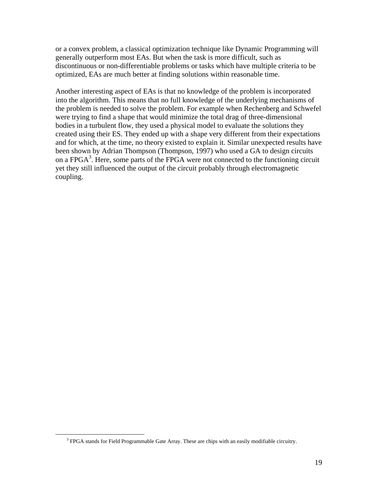or a convex problem, a classical optimization technique like Dynamic Programming will generally outperform most EAs. But when the task is more difficult, such as discontinuous or non-differentiable problems or tasks which have multiple criteria to be optimized, EAs are much better at finding solutions within reasonable time.

Another interesting aspect of EAs is that no knowledge of the problem is incorporated into the algorithm. This means that no full knowledge of the underlying mechanisms of the problem is needed to solve the problem. For example when Rechenberg and Schwefel were trying to find a shape that would minimize the total drag of three-dimensional bodies in a turbulent flow, they used a physical model to evaluate the solutions they created using their ES. They ended up with a shape very different from their expectations and for which, at the time, no theory existed to explain it. Similar unexpected results have been shown by Adrian Thompson (Thompson, 1997) who used a GA to design circuits on a FPGA<sup>3</sup>. Here, some parts of the FPGA were not connected to the functioning circuit yet they still influenced the output of the circuit probably through electromagnetic coupling.

 $\overline{a}$ 

<sup>&</sup>lt;sup>3</sup> FPGA stands for Field Programmable Gate Array. These are chips with an easily modifiable circuitry.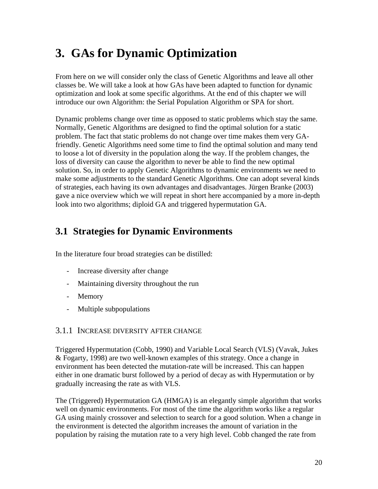# **3. GAs for Dynamic Optimization**

From here on we will consider only the class of Genetic Algorithms and leave all other classes be. We will take a look at how GAs have been adapted to function for dynamic optimization and look at some specific algorithms. At the end of this chapter we will introduce our own Algorithm: the Serial Population Algorithm or SPA for short.

Dynamic problems change over time as opposed to static problems which stay the same. Normally, Genetic Algorithms are designed to find the optimal solution for a static problem. The fact that static problems do not change over time makes them very GAfriendly. Genetic Algorithms need some time to find the optimal solution and many tend to loose a lot of diversity in the population along the way. If the problem changes, the loss of diversity can cause the algorithm to never be able to find the new optimal solution. So, in order to apply Genetic Algorithms to dynamic environments we need to make some adjustments to the standard Genetic Algorithms. One can adopt several kinds of strategies, each having its own advantages and disadvantages. Jürgen Branke (2003) gave a nice overview which we will repeat in short here accompanied by a more in-depth look into two algorithms; diploid GA and triggered hypermutation GA.

# **3.1 Strategies for Dynamic Environments**

In the literature four broad strategies can be distilled:

- Increase diversity after change
- Maintaining diversity throughout the run
- Memory
- Multiple subpopulations

#### 3.1.1 INCREASE DIVERSITY AFTER CHANGE

Triggered Hypermutation (Cobb, 1990) and Variable Local Search (VLS) (Vavak, Jukes & Fogarty, 1998) are two well-known examples of this strategy. Once a change in environment has been detected the mutation-rate will be increased. This can happen either in one dramatic burst followed by a period of decay as with Hypermutation or by gradually increasing the rate as with VLS.

The (Triggered) Hypermutation GA (HMGA) is an elegantly simple algorithm that works well on dynamic environments. For most of the time the algorithm works like a regular GA using mainly crossover and selection to search for a good solution. When a change in the environment is detected the algorithm increases the amount of variation in the population by raising the mutation rate to a very high level. Cobb changed the rate from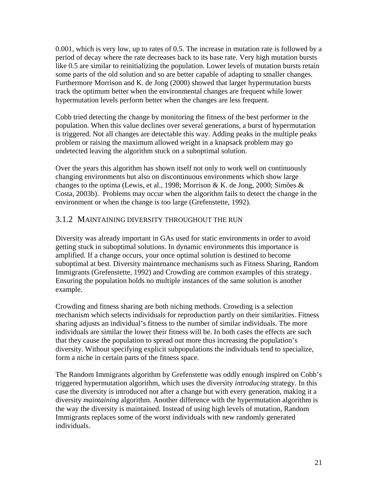0.001, which is very low, up to rates of 0.5. The increase in mutation rate is followed by a period of decay where the rate decreases back to its base rate. Very high mutation bursts like 0.5 are similar to reinitializing the population. Lower levels of mutation bursts retain some parts of the old solution and so are better capable of adapting to smaller changes. Furthermore Morrison and K. de Jong (2000) showed that larger hypermutation bursts track the optimum better when the environmental changes are frequent while lower hypermutation levels perform better when the changes are less frequent.

Cobb tried detecting the change by monitoring the fitness of the best performer in the population. When this value declines over several generations, a burst of hypermutation is triggered. Not all changes are detectable this way. Adding peaks in the multiple peaks problem or raising the maximum allowed weight in a knapsack problem may go undetected leaving the algorithm stuck on a suboptimal solution.

Over the years this algorithm has shown itself not only to work well on continuously changing environments but also on discontinuous environments which show large changes to the optima (Lewis, et al., 1998; Morrison & K. de Jong, 2000; Simões & Costa, 2003b). Problems may occur when the algorithm fails to detect the change in the environment or when the change is too large (Grefenstette, 1992).

#### 3.1.2 MAINTAINING DIVERSITY THROUGHOUT THE RUN

Diversity was already important in GAs used for static environments in order to avoid getting stuck in suboptimal solutions. In dynamic environments this importance is amplified. If a change occurs, your once optimal solution is destined to become suboptimal at best. Diversity maintenance mechanisms such as Fitness Sharing, Random Immigrants (Grefenstette, 1992) and Crowding are common examples of this strategy. Ensuring the population holds no multiple instances of the same solution is another example.

Crowding and fitness sharing are both niching methods. Crowding is a selection mechanism which selects individuals for reproduction partly on their similarities. Fitness sharing adjusts an individual's fitness to the number of similar individuals. The more individuals are similar the lower their fitness will be. In both cases the effects are such that they cause the population to spread out more thus increasing the population's diversity. Without specifying explicit subpopulations the individuals tend to specialize, form a niche in certain parts of the fitness space.

The Random Immigrants algorithm by Grefenstette was oddly enough inspired on Cobb's triggered hypermutation algorithm, which uses the diversity *introducing* strategy. In this case the diversity is introduced not after a change but with every generation, making it a diversity *maintaining* algorithm. Another difference with the hypermutation algorithm is the way the diversity is maintained. Instead of using high levels of mutation, Random Immigrants replaces some of the worst individuals with new randomly generated individuals.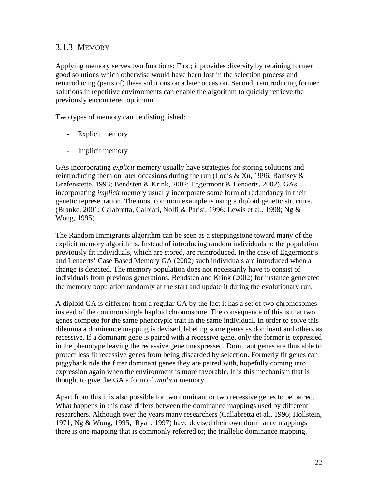### 3.1.3 MEMORY

Applying memory serves two functions: First; it provides diversity by retaining former good solutions which otherwise would have been lost in the selection process and reintroducing (parts of) these solutions on a later occasion. Second; reintroducing former solutions in repetitive environments can enable the algorithm to quickly retrieve the previously encountered optimum.

Two types of memory can be distinguished:

- Explicit memory
- Implicit memory

GAs incorporating *explicit* memory usually have strategies for storing solutions and reintroducing them on later occasions during the run (Louis & Xu, 1996; Ramsey  $\&$ Grefenstette, 1993; Bendsten & Krink, 2002; Eggermont & Lenaerts, 2002). GAs incorporating *implicit* memory usually incorporate some form of redundancy in their genetic representation. The most common example is using a diploid genetic structure. (Branke, 2001; Calabretta, Calbiati, Nolfi & Parisi, 1996; Lewis et al., 1998; Ng & Wong, 1995)

The Random Immigrants algorithm can be seen as a steppingstone toward many of the explicit memory algorithms. Instead of introducing random individuals to the population previously fit individuals, which are stored, are reintroduced. In the case of Eggermont's and Lenaerts' Case Based Memory GA (2002) such individuals are introduced when a change is detected. The memory population does not necessarily have to consist of individuals from previous generations. Bendsten and Krink (2002) for instance generated the memory population randomly at the start and update it during the evolutionary run.

A diploid GA is different from a regular GA by the fact it has a set of two chromosomes instead of the common single haploid chromosome. The consequence of this is that two genes compete for the same phenotypic trait in the same individual. In order to solve this dilemma a dominance mapping is devised, labeling some genes as dominant and others as recessive. If a dominant gene is paired with a recessive gene, only the former is expressed in the phenotype leaving the recessive gene unexpressed. Dominant genes are thus able to protect less fit recessive genes from being discarded by selection. Formerly fit genes can piggyback ride the fitter dominant genes they are paired with, hopefully coming into expression again when the environment is more favorable. It is this mechanism that is thought to give the GA a form of *implicit* memory.

Apart from this it is also possible for two dominant or two recessive genes to be paired. What happens in this case differs between the dominance mappings used by different researchers. Although over the years many researchers (Callabretta et al., 1996; Hollstein, 1971; Ng & Wong, 1995; Ryan, 1997) have devised their own dominance mappings there is one mapping that is commonly referred to; the triallelic dominance mapping.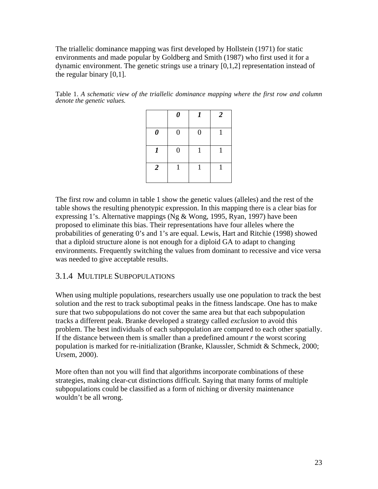The triallelic dominance mapping was first developed by Hollstein (1971) for static environments and made popular by Goldberg and Smith (1987) who first used it for a dynamic environment. The genetic strings use a trinary [0,1,2] representation instead of the regular binary [0,1].

Table 1. *A schematic view of the triallelic dominance mapping where the first row and column denote the genetic values.*

|                       | $\pmb{\theta}$   | $\boldsymbol{l}$ | $\overline{2}$ |
|-----------------------|------------------|------------------|----------------|
| $\boldsymbol{\theta}$ | $\boldsymbol{0}$ | $\boldsymbol{0}$ |                |
| $\boldsymbol{l}$      | $\boldsymbol{0}$ |                  |                |
| $\overline{2}$        | $\mathbf{1}$     | $\mathbf{1}$     |                |

The first row and column in table 1 show the genetic values (alleles) and the rest of the table shows the resulting phenotypic expression. In this mapping there is a clear bias for expressing 1's. Alternative mappings (Ng  $&$  Wong, 1995, Ryan, 1997) have been proposed to eliminate this bias. Their representations have four alleles where the probabilities of generating 0's and 1's are equal. Lewis, Hart and Ritchie (1998) showed that a diploid structure alone is not enough for a diploid GA to adapt to changing environments. Frequently switching the values from dominant to recessive and vice versa was needed to give acceptable results.

#### 3.1.4 MULTIPLE SUBPOPULATIONS

When using multiple populations, researchers usually use one population to track the best solution and the rest to track suboptimal peaks in the fitness landscape. One has to make sure that two subpopulations do not cover the same area but that each subpopulation tracks a different peak. Branke developed a strategy called *exclusion* to avoid this problem. The best individuals of each subpopulation are compared to each other spatially. If the distance between them is smaller than a predefined amount *r* the worst scoring population is marked for re-initialization (Branke, Klaussler, Schmidt & Schmeck, 2000; Ursem, 2000).

More often than not you will find that algorithms incorporate combinations of these strategies, making clear-cut distinctions difficult. Saying that many forms of multiple subpopulations could be classified as a form of niching or diversity maintenance wouldn't be all wrong.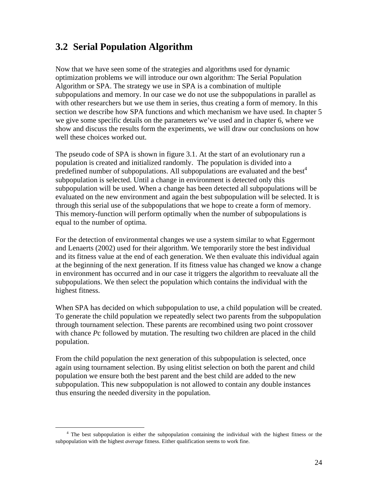## **3.2 Serial Population Algorithm**

Now that we have seen some of the strategies and algorithms used for dynamic optimization problems we will introduce our own algorithm: The Serial Population Algorithm or SPA. The strategy we use in SPA is a combination of multiple subpopulations and memory. In our case we do not use the subpopulations in parallel as with other researchers but we use them in series, thus creating a form of memory. In this section we describe how SPA functions and which mechanism we have used. In chapter 5 we give some specific details on the parameters we've used and in chapter 6, where we show and discuss the results form the experiments, we will draw our conclusions on how well these choices worked out.

The pseudo code of SPA is shown in figure 3.1. At the start of an evolutionary run a population is created and initialized randomly. The population is divided into a predefined number of subpopulations. All subpopulations are evaluated and the best<sup>4</sup> subpopulation is selected. Until a change in environment is detected only this subpopulation will be used. When a change has been detected all subpopulations will be evaluated on the new environment and again the best subpopulation will be selected. It is through this serial use of the subpopulations that we hope to create a form of memory. This memory-function will perform optimally when the number of subpopulations is equal to the number of optima.

For the detection of environmental changes we use a system similar to what Eggermont and Lenaerts (2002) used for their algorithm. We temporarily store the best individual and its fitness value at the end of each generation. We then evaluate this individual again at the beginning of the next generation. If its fitness value has changed we know a change in environment has occurred and in our case it triggers the algorithm to reevaluate all the subpopulations. We then select the population which contains the individual with the highest fitness.

When SPA has decided on which subpopulation to use, a child population will be created. To generate the child population we repeatedly select two parents from the subpopulation through tournament selection. These parents are recombined using two point crossover with chance *Pc* followed by mutation. The resulting two children are placed in the child population.

From the child population the next generation of this subpopulation is selected, once again using tournament selection. By using elitist selection on both the parent and child population we ensure both the best parent and the best child are added to the new subpopulation. This new subpopulation is not allowed to contain any double instances thus ensuring the needed diversity in the population.

l <sup>4</sup> The best subpopulation is either the subpopulation containing the individual with the highest fitness or the subpopulation with the highest *average* fitness. Either qualification seems to work fine.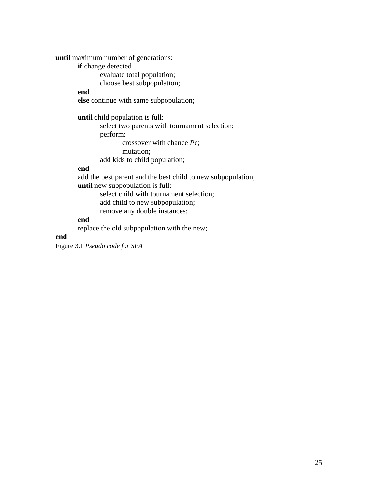| <b>until</b> maximum number of generations:                       |
|-------------------------------------------------------------------|
| <b>if</b> change detected                                         |
| evaluate total population;                                        |
| choose best subpopulation;                                        |
| end                                                               |
| <b>else</b> continue with same subpopulation;                     |
| <b>until</b> child population is full:                            |
| select two parents with tournament selection;                     |
| perform:                                                          |
| crossover with chance Pc;                                         |
| mutation;                                                         |
| add kids to child population;                                     |
| end                                                               |
| add the best parent and the best child to new subpopulation;      |
| <b>until</b> new subpopulation is full:                           |
| select child with tournament selection;                           |
| add child to new subpopulation;                                   |
| remove any double instances;                                      |
| end                                                               |
| replace the old subpopulation with the new;                       |
| end                                                               |
| $E_{\text{coup}}$ 2.1 $D_{\text{coul}}$ and $f_{\text{coul}}$ CDA |

Figure 3.1 *Pseudo code for SPA*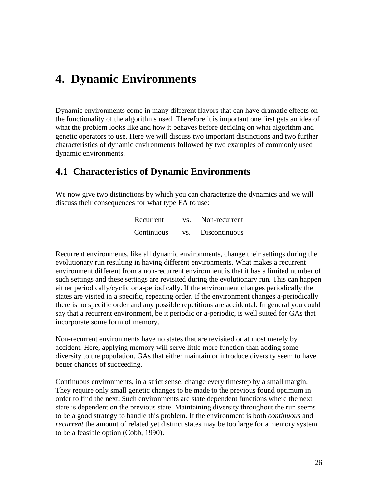# **4. Dynamic Environments**

Dynamic environments come in many different flavors that can have dramatic effects on the functionality of the algorithms used. Therefore it is important one first gets an idea of what the problem looks like and how it behaves before deciding on what algorithm and genetic operators to use. Here we will discuss two important distinctions and two further characteristics of dynamic environments followed by two examples of commonly used dynamic environments.

### **4.1 Characteristics of Dynamic Environments**

We now give two distinctions by which you can characterize the dynamics and we will discuss their consequences for what type EA to use:

| Recurrent  | VS. | Non-recurrent |
|------------|-----|---------------|
| Continuous | VS. | Discontinuous |

Recurrent environments, like all dynamic environments, change their settings during the evolutionary run resulting in having different environments. What makes a recurrent environment different from a non-recurrent environment is that it has a limited number of such settings and these settings are revisited during the evolutionary run. This can happen either periodically/cyclic or a-periodically. If the environment changes periodically the states are visited in a specific, repeating order. If the environment changes a-periodically there is no specific order and any possible repetitions are accidental. In general you could say that a recurrent environment, be it periodic or a-periodic, is well suited for GAs that incorporate some form of memory.

Non-recurrent environments have no states that are revisited or at most merely by accident. Here, applying memory will serve little more function than adding some diversity to the population. GAs that either maintain or introduce diversity seem to have better chances of succeeding.

Continuous environments, in a strict sense, change every timestep by a small margin. They require only small genetic changes to be made to the previous found optimum in order to find the next. Such environments are state dependent functions where the next state is dependent on the previous state. Maintaining diversity throughout the run seems to be a good strategy to handle this problem. If the environment is both *continuous* and *recurrent* the amount of related yet distinct states may be too large for a memory system to be a feasible option (Cobb, 1990).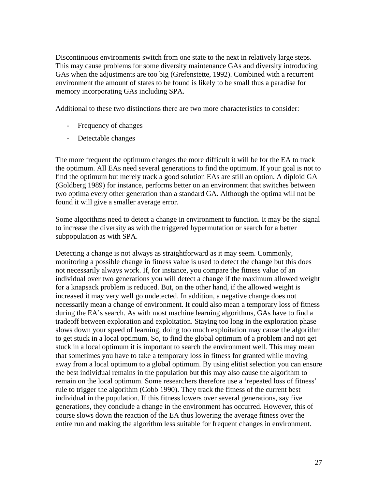Discontinuous environments switch from one state to the next in relatively large steps. This may cause problems for some diversity maintenance GAs and diversity introducing GAs when the adjustments are too big (Grefenstette, 1992). Combined with a recurrent environment the amount of states to be found is likely to be small thus a paradise for memory incorporating GAs including SPA.

Additional to these two distinctions there are two more characteristics to consider:

- Frequency of changes
- Detectable changes

The more frequent the optimum changes the more difficult it will be for the EA to track the optimum. All EAs need several generations to find the optimum. If your goal is not to find the optimum but merely track a good solution EAs are still an option. A diploid GA (Goldberg 1989) for instance, performs better on an environment that switches between two optima every other generation than a standard GA. Although the optima will not be found it will give a smaller average error.

Some algorithms need to detect a change in environment to function. It may be the signal to increase the diversity as with the triggered hypermutation or search for a better subpopulation as with SPA.

Detecting a change is not always as straightforward as it may seem. Commonly, monitoring a possible change in fitness value is used to detect the change but this does not necessarily always work. If, for instance, you compare the fitness value of an individual over two generations you will detect a change if the maximum allowed weight for a knapsack problem is reduced. But, on the other hand, if the allowed weight is increased it may very well go undetected. In addition, a negative change does not necessarily mean a change of environment. It could also mean a temporary loss of fitness during the EA's search. As with most machine learning algorithms, GAs have to find a tradeoff between exploration and exploitation. Staying too long in the exploration phase slows down your speed of learning, doing too much exploitation may cause the algorithm to get stuck in a local optimum. So, to find the global optimum of a problem and not get stuck in a local optimum it is important to search the environment well. This may mean that sometimes you have to take a temporary loss in fitness for granted while moving away from a local optimum to a global optimum. By using elitist selection you can ensure the best individual remains in the population but this may also cause the algorithm to remain on the local optimum. Some researchers therefore use a 'repeated loss of fitness' rule to trigger the algorithm (Cobb 1990). They track the fitness of the current best individual in the population. If this fitness lowers over several generations, say five generations, they conclude a change in the environment has occurred. However, this of course slows down the reaction of the EA thus lowering the average fitness over the entire run and making the algorithm less suitable for frequent changes in environment.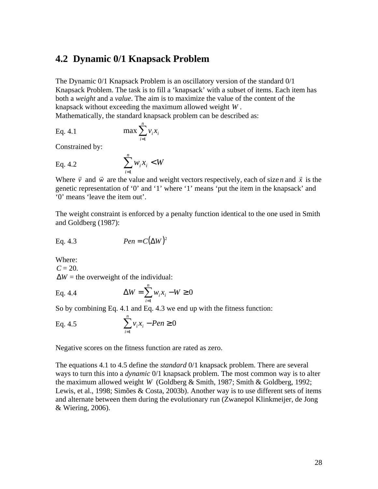### **4.2 Dynamic 0/1 Knapsack Problem**

The Dynamic 0/1 Knapsack Problem is an oscillatory version of the standard 0/1 Knapsack Problem. The task is to fill a 'knapsack' with a subset of items. Each item has both a *weight* and a *value*. The aim is to maximize the value of the content of the knapsack without exceeding the maximum allowed weight *W* . Mathematically, the standard knapsack problem can be described as:

Eq. 4.1 
$$
\max \sum_{i=1}^{n} v_i x_i
$$

Constrained by:

Eq. 4.2 
$$
\sum_{i=1}^{n} w_i x_i < W
$$

Where *v* and  $\vec{w}$  are the value and weight vectors respectively, each of size *n* and *x*  $\rightarrow$  is the genetic representation of '0' and '1' where '1' means 'put the item in the knapsack' and '0' means 'leave the item out'.

The weight constraint is enforced by a penalty function identical to the one used in Smith and Goldberg (1987):

Eq. 4.3 
$$
Pen = C(\Delta W)^2
$$

Where:

 $C = 20$ .  $\Delta W$  = the overweight of the individual: *n*

Eq. 4.4 
$$
\Delta W = \sum_{i=1}^{n} w_i x_i - W \ge 0
$$

So by combining Eq. 4.1 and Eq. 4.3 we end up with the fitness function:

Eq. 4.5 
$$
\sum_{i=1}^{n} v_i x_i - Pen \ge 0
$$

Negative scores on the fitness function are rated as zero.

The equations 4.1 to 4.5 define the *standard* 0/1 knapsack problem. There are several ways to turn this into a *dynamic* 0/1 knapsack problem. The most common way is to alter the maximum allowed weight *W* (Goldberg & Smith, 1987; Smith & Goldberg, 1992; Lewis, et al., 1998; Simões & Costa, 2003b). Another way is to use different sets of items and alternate between them during the evolutionary run (Zwanepol Klinkmeijer, de Jong & Wiering, 2006).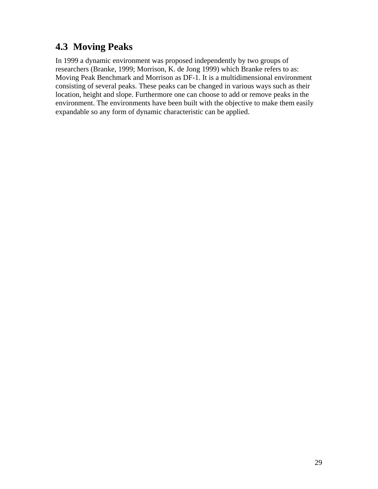# **4.3 Moving Peaks**

In 1999 a dynamic environment was proposed independently by two groups of researchers (Branke, 1999; Morrison, K. de Jong 1999) which Branke refers to as: Moving Peak Benchmark and Morrison as DF-1. It is a multidimensional environment consisting of several peaks. These peaks can be changed in various ways such as their location, height and slope. Furthermore one can choose to add or remove peaks in the environment. The environments have been built with the objective to make them easily expandable so any form of dynamic characteristic can be applied.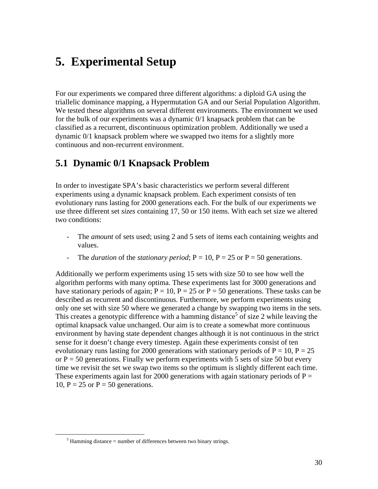# **5. Experimental Setup**

For our experiments we compared three different algorithms: a diploid GA using the triallelic dominance mapping, a Hypermutation GA and our Serial Population Algorithm. We tested these algorithms on several different environments. The environment we used for the bulk of our experiments was a dynamic 0/1 knapsack problem that can be classified as a recurrent, discontinuous optimization problem. Additionally we used a dynamic 0/1 knapsack problem where we swapped two items for a slightly more continuous and non-recurrent environment.

### **5.1 Dynamic 0/1 Knapsack Problem**

In order to investigate SPA's basic characteristics we perform several different experiments using a dynamic knapsack problem. Each experiment consists of ten evolutionary runs lasting for 2000 generations each. For the bulk of our experiments we use three different set *sizes* containing 17, 50 or 150 items. With each set size we altered two conditions:

- The *amount* of sets used; using 2 and 5 sets of items each containing weights and values.
- The *duration* of the *stationary period*;  $P = 10$ ,  $P = 25$  or  $P = 50$  generations.

Additionally we perform experiments using 15 sets with size 50 to see how well the algorithm performs with many optima. These experiments last for 3000 generations and have stationary periods of again;  $P = 10$ ,  $P = 25$  or  $P = 50$  generations. These tasks can be described as recurrent and discontinuous. Furthermore, we perform experiments using only one set with size 50 where we generated a change by swapping two items in the sets. This creates a genotypic difference with a hamming distance<sup>5</sup> of size 2 while leaving the optimal knapsack value unchanged. Our aim is to create a somewhat more continuous environment by having state dependent changes although it is not continuous in the strict sense for it doesn't change every timestep. Again these experiments consist of ten evolutionary runs lasting for 2000 generations with stationary periods of  $P = 10$ ,  $P = 25$ or  $P = 50$  generations. Finally we perform experiments with 5 sets of size 50 but every time we revisit the set we swap two items so the optimum is slightly different each time. These experiments again last for 2000 generations with again stationary periods of  $P =$ 10,  $P = 25$  or  $P = 50$  generations.

 $\overline{a}$ 

 $<sup>5</sup>$  Hamming distance = number of differences between two binary strings.</sup>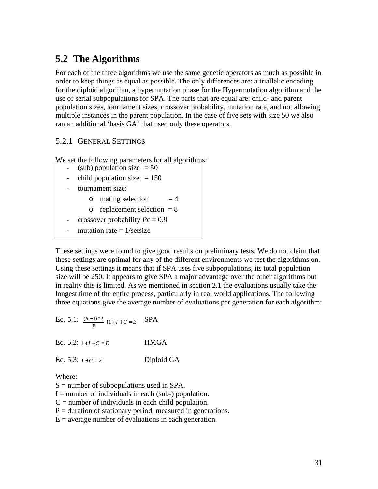# **5.2 The Algorithms**

For each of the three algorithms we use the same genetic operators as much as possible in order to keep things as equal as possible. The only differences are: a triallelic encoding for the diploid algorithm, a hypermutation phase for the Hypermutation algorithm and the use of serial subpopulations for SPA. The parts that are equal are: child- and parent population sizes, tournament sizes, crossover probability, mutation rate, and not allowing multiple instances in the parent population. In the case of five sets with size 50 we also ran an additional 'basis GA' that used only these operators.

#### 5.2.1 GENERAL SETTINGS

We set the following parameters for all algorithms:

- $(sub)$  population size = 50
- child population size  $= 150$
- tournament size:
	- $\circ$  mating selection  $= 4$
	- $\circ$  replacement selection = 8
- crossover probability *P*c = 0.9
- mutation rate  $= 1$ /setsize

These settings were found to give good results on preliminary tests. We do not claim that these settings are optimal for any of the different environments we test the algorithms on. Using these settings it means that if SPA uses five subpopulations, its total population size will be 250. It appears to give SPA a major advantage over the other algorithms but in reality this is limited. As we mentioned in section 2.1 the evaluations usually take the longest time of the entire process, particularly in real world applications. The following three equations give the average number of evaluations per generation for each algorithm:

Eq. 5.1: 
$$
\frac{(S-1)^*I}{P} + 1 + I + C = E
$$
 SPA  
Eq. 5.2:  $1 + I + C = E$  HMGA

Eq. 5.3:  $I + C = E$  Diploid GA

Where:

 $S =$  number of subpopulations used in SPA.

- $I =$  number of individuals in each (sub-) population.
- $C =$  number of individuals in each child population.
- $P =$  duration of stationary period, measured in generations.
- $E =$  average number of evaluations in each generation.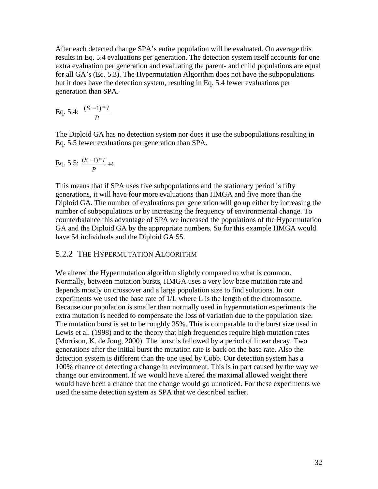After each detected change SPA's entire population will be evaluated. On average this results in Eq. 5.4 evaluations per generation. The detection system itself accounts for one extra evaluation per generation and evaluating the parent- and child populations are equal for all GA's (Eq. 5.3). The Hypermutation Algorithm does not have the subpopulations but it does have the detection system, resulting in Eq. 5.4 fewer evaluations per generation than SPA.

Eq. 5.4: 
$$
\frac{(S-1)*I}{P}
$$

The Diploid GA has no detection system nor does it use the subpopulations resulting in Eq. 5.5 fewer evaluations per generation than SPA.

Eq. 5.5: 
$$
\frac{(S-1)*I}{P} + 1
$$

This means that if SPA uses five subpopulations and the stationary period is fifty generations, it will have four more evaluations than HMGA and five more than the Diploid GA. The number of evaluations per generation will go up either by increasing the number of subpopulations or by increasing the frequency of environmental change. To counterbalance this advantage of SPA we increased the populations of the Hypermutation GA and the Diploid GA by the appropriate numbers. So for this example HMGA would have 54 individuals and the Diploid GA 55.

#### 5.2.2 THE HYPERMUTATION ALGORITHM

We altered the Hypermutation algorithm slightly compared to what is common. Normally, between mutation bursts, HMGA uses a very low base mutation rate and depends mostly on crossover and a large population size to find solutions. In our experiments we used the base rate of 1/L where L is the length of the chromosome. Because our population is smaller than normally used in hypermutation experiments the extra mutation is needed to compensate the loss of variation due to the population size. The mutation burst is set to be roughly 35%. This is comparable to the burst size used in Lewis et al. (1998) and to the theory that high frequencies require high mutation rates (Morrison, K. de Jong, 2000). The burst is followed by a period of linear decay. Two generations after the initial burst the mutation rate is back on the base rate. Also the detection system is different than the one used by Cobb. Our detection system has a 100% chance of detecting a change in environment. This is in part caused by the way we change our environment. If we would have altered the maximal allowed weight there would have been a chance that the change would go unnoticed. For these experiments we used the same detection system as SPA that we described earlier.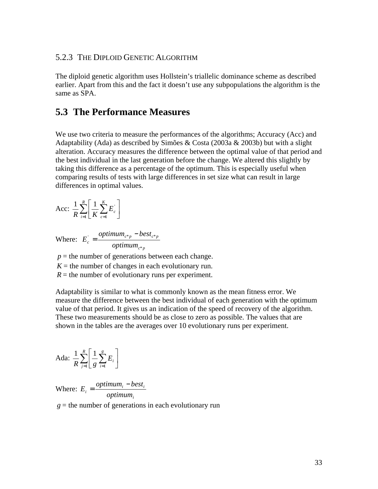#### 5.2.3 THE DIPLOID GENETIC ALGORITHM

The diploid genetic algorithm uses Hollstein's triallelic dominance scheme as described earlier. Apart from this and the fact it doesn't use any subpopulations the algorithm is the same as SPA.

### **5.3 The Performance Measures**

We use two criteria to measure the performances of the algorithms; Accuracy (Acc) and Adaptability (Ada) as described by Simões & Costa (2003a & 2003b) but with a slight alteration. Accuracy measures the difference between the optimal value of that period and the best individual in the last generation before the change. We altered this slightly by taking this difference as a percentage of the optimum. This is especially useful when comparing results of tests with large differences in set size what can result in large differences in optimal values.

$$
\text{Acc: } \frac{1}{R} \sum_{i=1}^{R} \left[ \frac{1}{K} \sum_{c=1}^{K} E_c \right]
$$

Where: *c p*  $c^*p$  *c*  $\partial$  *c*  $\partial$  *c*  $\partial$ *c optimum optimum best E* \*  $E_c = \frac{V \cdot \mu \mu \mu \mu}{I}$ − =

 $p =$  the number of generations between each change.

 $K =$  the number of changes in each evolutionary run.

 $R =$  the number of evolutionary runs per experiment.

Adaptability is similar to what is commonly known as the mean fitness error. We measure the difference between the best individual of each generation with the optimum value of that period. It gives us an indication of the speed of recovery of the algorithm. These two measurements should be as close to zero as possible. The values that are shown in the tables are the averages over 10 evolutionary runs per experiment.

$$
Ada: \frac{1}{R}\sum_{j=1}^{R}\left[\frac{1}{g}\sum_{i=1}^{g}E_i\right]
$$

Where: *i*  $\mu_i = \frac{\text{op}_{i} \mu_i}{\text{op}_{i} \mu_i}$  $E_i = \frac{optimum_i - best}{i}$ 

 $g =$  the number of generations in each evolutionary run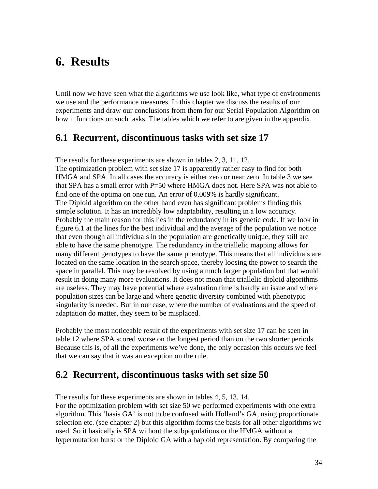# **6. Results**

Until now we have seen what the algorithms we use look like, what type of environments we use and the performance measures. In this chapter we discuss the results of our experiments and draw our conclusions from them for our Serial Population Algorithm on how it functions on such tasks. The tables which we refer to are given in the appendix.

### **6.1 Recurrent, discontinuous tasks with set size 17**

The results for these experiments are shown in tables 2, 3, 11, 12. The optimization problem with set size 17 is apparently rather easy to find for both HMGA and SPA. In all cases the accuracy is either zero or near zero. In table 3 we see that SPA has a small error with P=50 where HMGA does not. Here SPA was not able to find one of the optima on one run. An error of 0.009% is hardly significant. The Diploid algorithm on the other hand even has significant problems finding this simple solution. It has an incredibly low adaptability, resulting in a low accuracy. Probably the main reason for this lies in the redundancy in its genetic code. If we look in figure 6.1 at the lines for the best individual and the average of the population we notice that even though all individuals in the population are genetically unique, they still are able to have the same phenotype. The redundancy in the triallelic mapping allows for many different genotypes to have the same phenotype. This means that all individuals are located on the same location in the search space, thereby loosing the power to search the space in parallel. This may be resolved by using a much larger population but that would result in doing many more evaluations. It does not mean that triallelic diploid algorithms are useless. They may have potential where evaluation time is hardly an issue and where population sizes can be large and where genetic diversity combined with phenotypic singularity is needed. But in our case, where the number of evaluations and the speed of adaptation do matter, they seem to be misplaced.

Probably the most noticeable result of the experiments with set size 17 can be seen in table 12 where SPA scored worse on the longest period than on the two shorter periods. Because this is, of all the experiments we've done, the only occasion this occurs we feel that we can say that it was an exception on the rule.

### **6.2 Recurrent, discontinuous tasks with set size 50**

The results for these experiments are shown in tables 4, 5, 13, 14.

For the optimization problem with set size 50 we performed experiments with one extra algorithm. This 'basis GA' is not to be confused with Holland's GA, using proportionate selection etc. (see chapter 2) but this algorithm forms the basis for all other algorithms we used. So it basically is SPA without the subpopulations or the HMGA without a hypermutation burst or the Diploid GA with a haploid representation. By comparing the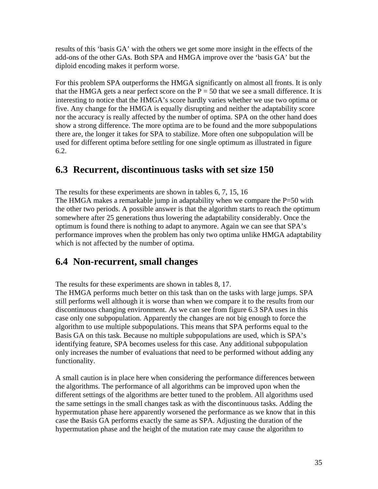results of this 'basis GA' with the others we get some more insight in the effects of the add-ons of the other GAs. Both SPA and HMGA improve over the 'basis GA' but the diploid encoding makes it perform worse.

For this problem SPA outperforms the HMGA significantly on almost all fronts. It is only that the HMGA gets a near perfect score on the  $P = 50$  that we see a small difference. It is interesting to notice that the HMGA's score hardly varies whether we use two optima or five. Any change for the HMGA is equally disrupting and neither the adaptability score nor the accuracy is really affected by the number of optima. SPA on the other hand does show a strong difference. The more optima are to be found and the more subpopulations there are, the longer it takes for SPA to stabilize. More often one subpopulation will be used for different optima before settling for one single optimum as illustrated in figure 6.2.

## **6.3 Recurrent, discontinuous tasks with set size 150**

The results for these experiments are shown in tables 6, 7, 15, 16 The HMGA makes a remarkable jump in adaptability when we compare the  $P=50$  with the other two periods. A possible answer is that the algorithm starts to reach the optimum somewhere after 25 generations thus lowering the adaptability considerably. Once the optimum is found there is nothing to adapt to anymore. Again we can see that SPA's performance improves when the problem has only two optima unlike HMGA adaptability which is not affected by the number of optima.

## **6.4 Non-recurrent, small changes**

The results for these experiments are shown in tables 8, 17.

The HMGA performs much better on this task than on the tasks with large jumps. SPA still performs well although it is worse than when we compare it to the results from our discontinuous changing environment. As we can see from figure 6.3 SPA uses in this case only one subpopulation. Apparently the changes are not big enough to force the algorithm to use multiple subpopulations. This means that SPA performs equal to the Basis GA on this task. Because no multiple subpopulations are used, which is SPA's identifying feature, SPA becomes useless for this case. Any additional subpopulation only increases the number of evaluations that need to be performed without adding any functionality.

A small caution is in place here when considering the performance differences between the algorithms. The performance of all algorithms can be improved upon when the different settings of the algorithms are better tuned to the problem. All algorithms used the same settings in the small changes task as with the discontinuous tasks. Adding the hypermutation phase here apparently worsened the performance as we know that in this case the Basis GA performs exactly the same as SPA. Adjusting the duration of the hypermutation phase and the height of the mutation rate may cause the algorithm to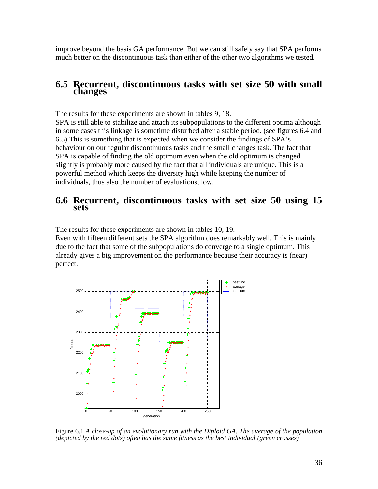improve beyond the basis GA performance. But we can still safely say that SPA performs much better on the discontinuous task than either of the other two algorithms we tested.

#### **6.5 Recurrent, discontinuous tasks with set size 50 with small changes**

The results for these experiments are shown in tables 9, 18.

SPA is still able to stabilize and attach its subpopulations to the different optima although in some cases this linkage is sometime disturbed after a stable period. (see figures 6.4 and 6.5) This is something that is expected when we consider the findings of SPA's behaviour on our regular discontinuous tasks and the small changes task. The fact that SPA is capable of finding the old optimum even when the old optimum is changed slightly is probably more caused by the fact that all individuals are unique. This is a powerful method which keeps the diversity high while keeping the number of individuals, thus also the number of evaluations, low.

#### **6.6 Recurrent, discontinuous tasks with set size 50 using 15 sets**

The results for these experiments are shown in tables 10, 19.

Even with fifteen different sets the SPA algorithm does remarkably well. This is mainly due to the fact that some of the subpopulations do converge to a single optimum. This already gives a big improvement on the performance because their accuracy is (near) perfect.



Figure 6.1 *A close-up of an evolutionary run with the Diploid GA. The average of the population (depicted by the red dots) often has the same fitness as the best individual (green crosses)*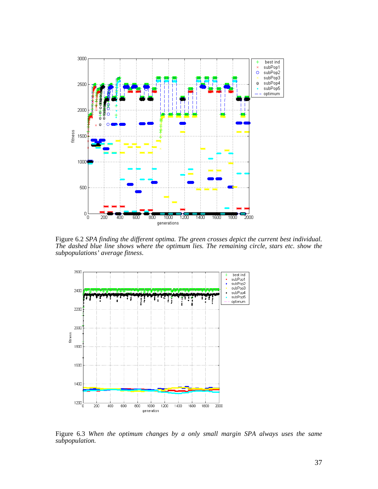

Figure 6.2 *SPA finding the different optima. The green crosses depict the current best individual. The dashed blue line shows where the optimum lies. The remaining circle, stars etc. show the subpopulations' average fitness*.



Figure 6.3 *When the optimum changes by a only small margin SPA always uses the same subpopulation.*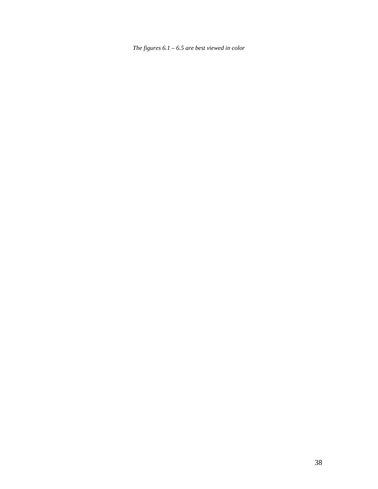*The figures 6.1 – 6.5 are best viewed in color*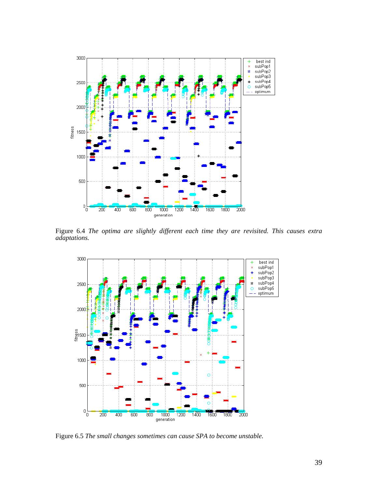

Figure 6.4 *The optima are slightly different each time they are revisited. This causes extra adaptations.* 



Figure 6.5 *The small changes sometimes can cause SPA to become unstable.*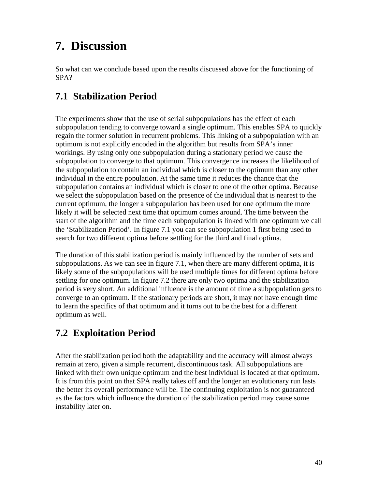# **7. Discussion**

So what can we conclude based upon the results discussed above for the functioning of SPA?

# **7.1 Stabilization Period**

The experiments show that the use of serial subpopulations has the effect of each subpopulation tending to converge toward a single optimum. This enables SPA to quickly regain the former solution in recurrent problems. This linking of a subpopulation with an optimum is not explicitly encoded in the algorithm but results from SPA's inner workings. By using only one subpopulation during a stationary period we cause the subpopulation to converge to that optimum. This convergence increases the likelihood of the subpopulation to contain an individual which is closer to the optimum than any other individual in the entire population. At the same time it reduces the chance that the subpopulation contains an individual which is closer to one of the other optima. Because we select the subpopulation based on the presence of the individual that is nearest to the current optimum, the longer a subpopulation has been used for one optimum the more likely it will be selected next time that optimum comes around. The time between the start of the algorithm and the time each subpopulation is linked with one optimum we call the 'Stabilization Period'. In figure 7.1 you can see subpopulation 1 first being used to search for two different optima before settling for the third and final optima.

The duration of this stabilization period is mainly influenced by the number of sets and subpopulations. As we can see in figure 7.1, when there are many different optima, it is likely some of the subpopulations will be used multiple times for different optima before settling for one optimum. In figure 7.2 there are only two optima and the stabilization period is very short. An additional influence is the amount of time a subpopulation gets to converge to an optimum. If the stationary periods are short, it may not have enough time to learn the specifics of that optimum and it turns out to be the best for a different optimum as well.

# **7.2 Exploitation Period**

After the stabilization period both the adaptability and the accuracy will almost always remain at zero, given a simple recurrent, discontinuous task. All subpopulations are linked with their own unique optimum and the best individual is located at that optimum. It is from this point on that SPA really takes off and the longer an evolutionary run lasts the better its overall performance will be. The continuing exploitation is not guaranteed as the factors which influence the duration of the stabilization period may cause some instability later on.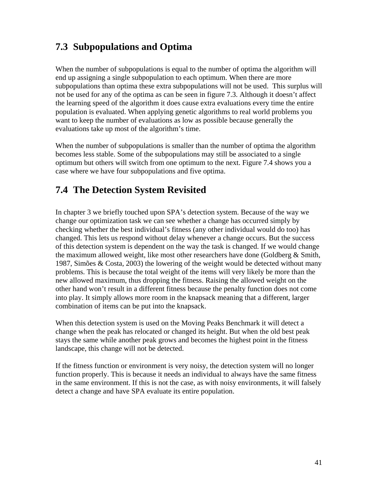# **7.3 Subpopulations and Optima**

When the number of subpopulations is equal to the number of optima the algorithm will end up assigning a single subpopulation to each optimum. When there are more subpopulations than optima these extra subpopulations will not be used. This surplus will not be used for any of the optima as can be seen in figure 7.3. Although it doesn't affect the learning speed of the algorithm it does cause extra evaluations every time the entire population is evaluated. When applying genetic algorithms to real world problems you want to keep the number of evaluations as low as possible because generally the evaluations take up most of the algorithm's time.

When the number of subpopulations is smaller than the number of optima the algorithm becomes less stable. Some of the subpopulations may still be associated to a single optimum but others will switch from one optimum to the next. Figure 7.4 shows you a case where we have four subpopulations and five optima.

# **7.4 The Detection System Revisited**

In chapter 3 we briefly touched upon SPA's detection system. Because of the way we change our optimization task we can see whether a change has occurred simply by checking whether the best individual's fitness (any other individual would do too) has changed. This lets us respond without delay whenever a change occurs. But the success of this detection system is dependent on the way the task is changed. If we would change the maximum allowed weight, like most other researchers have done (Goldberg & Smith, 1987, Simões & Costa, 2003) the lowering of the weight would be detected without many problems. This is because the total weight of the items will very likely be more than the new allowed maximum, thus dropping the fitness. Raising the allowed weight on the other hand won't result in a different fitness because the penalty function does not come into play. It simply allows more room in the knapsack meaning that a different, larger combination of items can be put into the knapsack.

When this detection system is used on the Moving Peaks Benchmark it will detect a change when the peak has relocated or changed its height. But when the old best peak stays the same while another peak grows and becomes the highest point in the fitness landscape, this change will not be detected.

If the fitness function or environment is very noisy, the detection system will no longer function properly. This is because it needs an individual to always have the same fitness in the same environment. If this is not the case, as with noisy environments, it will falsely detect a change and have SPA evaluate its entire population.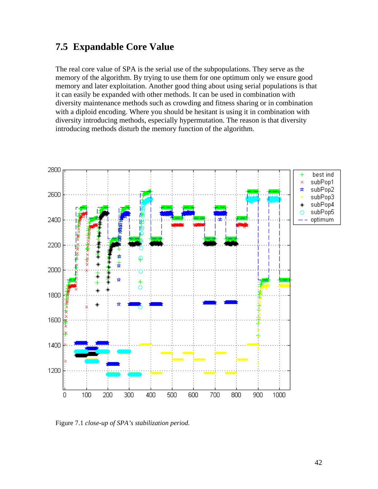### **7.5 Expandable Core Value**

The real core value of SPA is the serial use of the subpopulations. They serve as the memory of the algorithm. By trying to use them for one optimum only we ensure good memory and later exploitation. Another good thing about using serial populations is that it can easily be expanded with other methods. It can be used in combination with diversity maintenance methods such as crowding and fitness sharing or in combination with a diploid encoding. Where you should be hesitant is using it in combination with diversity introducing methods, especially hypermutation. The reason is that diversity introducing methods disturb the memory function of the algorithm.



Figure 7.1 *close-up of SPA's stabilization period.*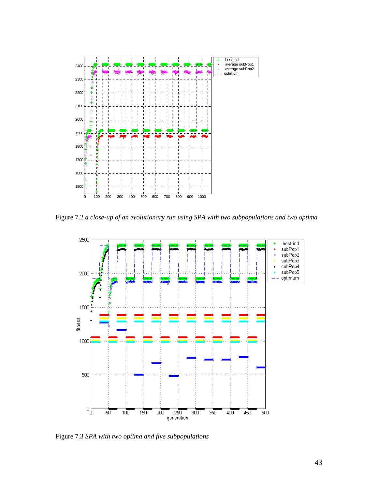

Figure 7.2 *a close-up of an evolutionary run using SPA with two subpopulations and two optima* 



Figure 7.3 *SPA with two optima and five subpopulations*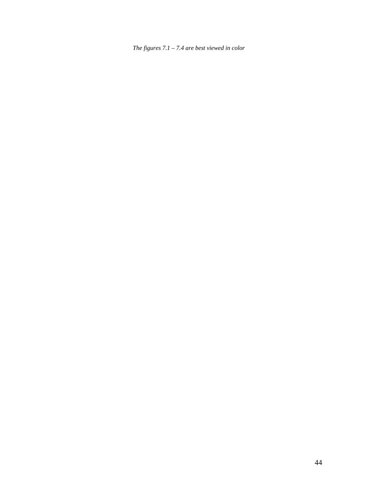*The figures 7.1 – 7.4 are best viewed in color*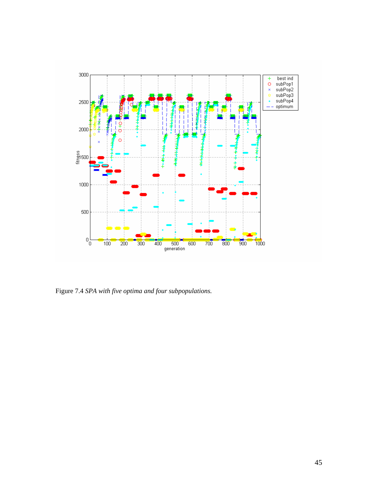

Figure 7.4 *SPA with five optima and four subpopulations.*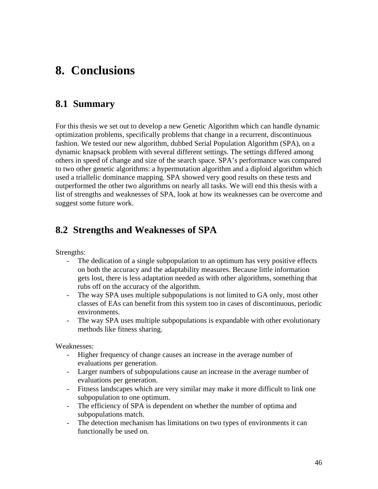# **8. Conclusions**

### **8.1 Summary**

For this thesis we set out to develop a new Genetic Algorithm which can handle dynamic optimization problems, specifically problems that change in a recurrent, discontinuous fashion. We tested our new algorithm, dubbed Serial Population Algorithm (SPA), on a dynamic knapsack problem with several different settings. The settings differed among others in speed of change and size of the search space. SPA's performance was compared to two other genetic algorithms: a hypermutation algorithm and a diploid algorithm which used a triallelic dominance mapping. SPA showed very good results on these tests and outperformed the other two algorithms on nearly all tasks. We will end this thesis with a list of strengths and weaknesses of SPA, look at how its weaknesses can be overcome and suggest some future work.

### **8.2 Strengths and Weaknesses of SPA**

Strengths:

- The dedication of a single subpopulation to an optimum has very positive effects on both the accuracy and the adaptability measures. Because little information gets lost, there is less adaptation needed as with other algorithms, something that rubs off on the accuracy of the algorithm.
- The way SPA uses multiple subpopulations is not limited to GA only, most other classes of EAs can benefit from this system too in cases of discontinuous, periodic environments.
- The way SPA uses multiple subpopulations is expandable with other evolutionary methods like fitness sharing.

Weaknesses:

- Higher frequency of change causes an increase in the average number of evaluations per generation.
- Larger numbers of subpopulations cause an increase in the average number of evaluations per generation.
- Fitness landscapes which are very similar may make it more difficult to link one subpopulation to one optimum.
- The efficiency of SPA is dependent on whether the number of optima and subpopulations match.
- The detection mechanism has limitations on two types of environments it can functionally be used on.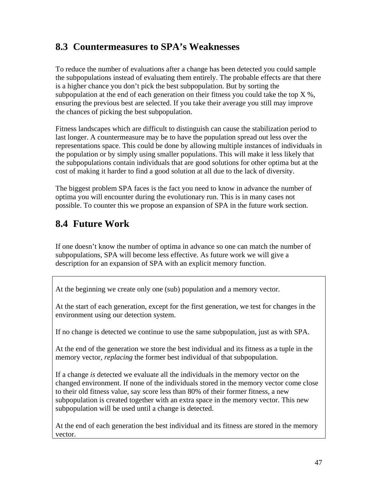# **8.3 Countermeasures to SPA's Weaknesses**

To reduce the number of evaluations after a change has been detected you could sample the subpopulations instead of evaluating them entirely. The probable effects are that there is a higher chance you don't pick the best subpopulation. But by sorting the subpopulation at the end of each generation on their fitness you could take the top  $X$ %, ensuring the previous best are selected. If you take their average you still may improve the chances of picking the best subpopulation.

Fitness landscapes which are difficult to distinguish can cause the stabilization period to last longer. A countermeasure may be to have the population spread out less over the representations space. This could be done by allowing multiple instances of individuals in the population or by simply using smaller populations. This will make it less likely that the subpopulations contain individuals that are good solutions for other optima but at the cost of making it harder to find a good solution at all due to the lack of diversity.

The biggest problem SPA faces is the fact you need to know in advance the number of optima you will encounter during the evolutionary run. This is in many cases not possible. To counter this we propose an expansion of SPA in the future work section.

# **8.4 Future Work**

If one doesn't know the number of optima in advance so one can match the number of subpopulations, SPA will become less effective. As future work we will give a description for an expansion of SPA with an explicit memory function.

At the beginning we create only one (sub) population and a memory vector.

At the start of each generation, except for the first generation, we test for changes in the environment using our detection system.

If no change is detected we continue to use the same subpopulation, just as with SPA.

At the end of the generation we store the best individual and its fitness as a tuple in the memory vector, *replacing* the former best individual of that subpopulation.

If a change *is* detected we evaluate all the individuals in the memory vector on the changed environment. If none of the individuals stored in the memory vector come close to their old fitness value, say score less than 80% of their former fitness, a new subpopulation is created together with an extra space in the memory vector. This new subpopulation will be used until a change is detected.

At the end of each generation the best individual and its fitness are stored in the memory vector.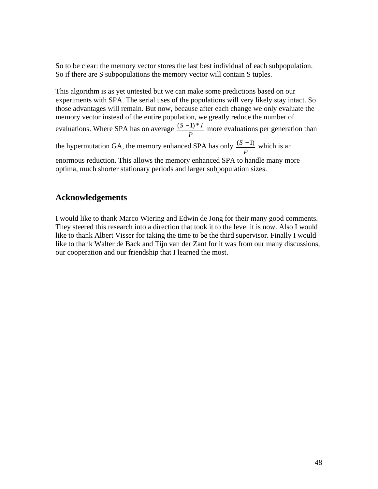So to be clear: the memory vector stores the last best individual of each subpopulation. So if there are S subpopulations the memory vector will contain S tuples.

This algorithm is as yet untested but we can make some predictions based on our experiments with SPA. The serial uses of the populations will very likely stay intact. So those advantages will remain. But now, because after each change we only evaluate the memory vector instead of the entire population, we greatly reduce the number of evaluations. Where SPA has on average *P*  $(S-1)*I$  more evaluations per generation than the hypermutation GA, the memory enhanced SPA has only *P*  $\frac{(S-1)}{S}$  which is an enormous reduction. This allows the memory enhanced SPA to handle many more optima, much shorter stationary periods and larger subpopulation sizes.

#### **Acknowledgements**

I would like to thank Marco Wiering and Edwin de Jong for their many good comments. They steered this research into a direction that took it to the level it is now. Also I would like to thank Albert Visser for taking the time to be the third supervisor. Finally I would like to thank Walter de Back and Tijn van der Zant for it was from our many discussions, our cooperation and our friendship that I learned the most.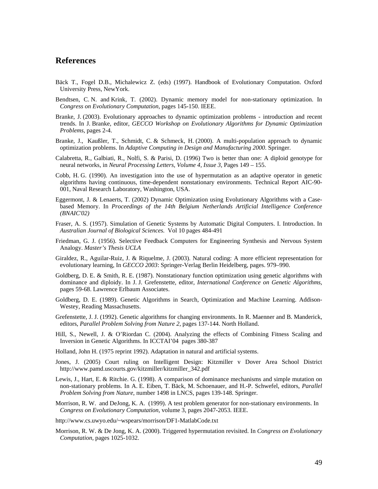#### **References**

- Bäck T., Fogel D.B., Michalewicz Z. (eds) (1997). Handbook of Evolutionary Computation. Oxford University Press, NewYork.
- Bendtsen, C. N. and Krink, T. (2002). Dynamic memory model for non-stationary optimization. In *Congress on Evolutionary Computation*, pages 145-150. IEEE.
- Branke, J. (2003). Evolutionary approaches to dynamic optimization problems introduction and recent trends. In J. Branke, editor, *GECCO Workshop on Evolutionary Algorithms for Dynamic Optimization Problems*, pages 2-4.
- Branke, J., Kaußler, T., Schmidt, C. & Schmeck, H. (2000). A multi-population approach to dynamic optimization problems. In *Adaptive Computing in Design and Manufacturing 2000*. Springer.
- Calabretta, R., Galbiati, R., Nolfi, S. & Parisi, D. (1996) Two is better than one: A diploid genotype for neural networks, in *Neural Processing Letters, Volume 4, Issue 3,* Pages 149 – 155.
- Cobb, H. G. (1990). An investigation into the use of hypermutation as an adaptive operator in genetic algorithms having continuous, time-dependent nonstationary environments. Technical Report AIC-90- 001, Naval Research Laboratory, Washington, USA.
- Eggermont, J. & Lenaerts, T. (2002) Dynamic Optimization using Evolutionary Algorithms with a Casebased Memory. In *Proceedings of the 14th Belgium Netherlands Artificial Intelligence Conference (BNAIC'02)*
- Fraser, A. S. (1957). Simulation of Genetic Systems by Automatic Digital Computers. I. Introduction. In *Australian Journal of Biological Sciences.* Vol 10 pages 484-491
- Friedman, G. J. (1956). Selective Feedback Computers for Engineering Synthesis and Nervous System Analogy. *Master's Thesis UCLA*
- Giraldez, R., Aguilar-Ruiz, J. & Riquelme, J. (2003). Natural coding: A more efficient representation for evolutionary learning, In *GECCO 2003*: Springer-Verlag Berlin Heidelberg, pages. 979–990.
- Goldberg, D. E. & Smith, R. E. (1987). Nonstationary function optimization using genetic algorithms with dominance and diploidy. In J. J. Grefenstette, editor, *International Conference on Genetic Algorithms*, pages 59-68. Lawrence Erlbaum Associates.
- Goldberg, D. E. (1989). Genetic Algorithms in Search, Optimization and Machine Learning. Addison-Westey, Reading Massachusetts.
- Grefenstette, J. J. (1992). Genetic algorithms for changing environments. In R. Maenner and B. Manderick, editors, *Parallel Problem Solving from Nature 2*, pages 137-144. North Holland.
- Hill, S., Newell, J. & O'Riordan C. (2004). Analyzing the effects of Combining Fitness Scaling and Inversion in Genetic Algorithms. In ICCTAI'04 pages 380-387
- Holland, John H. (1975 reprint 1992). Adaptation in natural and artificial systems.
- Jones, J. (2005) Court ruling on Intelligent Design: Kitzmiller v Dover Area School District http://www.pamd.uscourts.gov/kitzmiller/kitzmiller\_342.pdf
- Lewis, J., Hart, E. & Ritchie. G. (1998). A comparison of dominance mechanisms and simple mutation on non-stationary problems. In A. E. Eiben, T. Bäck, M. Schoenauer, and H.-P. Schwefel, editors, *Parallel Problem Solving from Nature*, number 1498 in LNCS, pages 139-148. Springer.
- Morrison, R. W. and DeJong, K. A. (1999). A test problem generator for non-stationary environments. In *Congress on Evolutionary Computation*, volume 3, pages 2047-2053. IEEE.

http://www.cs.uwyo.edu/~wspears/morrison/DF1-MatlabCode.txt

Morrison, R. W. & De Jong, K. A. (2000). Triggered hypermutation revisited. In *Congress on Evolutionary Computation*, pages 1025-1032.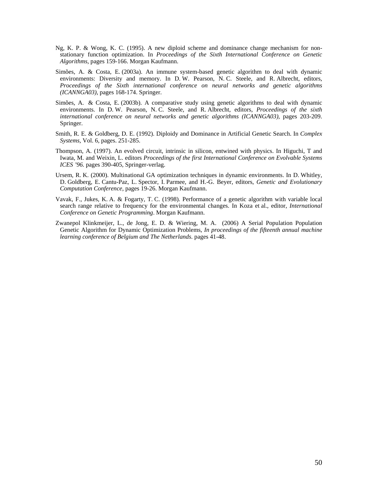- Ng, K. P. & Wong, K. C. (1995). A new diploid scheme and dominance change mechanism for nonstationary function optimization. In *Proceedings of the Sixth International Conference on Genetic Algorithms*, pages 159-166. Morgan Kaufmann.
- Simões, A. & Costa, E. (2003a). An immune system-based genetic algorithm to deal with dynamic environments: Diversity and memory. In D. W. Pearson, N. C. Steele, and R. Albrecht, editors, *Proceedings of the Sixth international conference on neural networks and genetic algorithms (ICANNGA03)*, pages 168-174. Springer.
- Simões, A. & Costa, E. (2003b). A comparative study using genetic algorithms to deal with dynamic environments. In D. W. Pearson, N. C. Steele, and R. Albrecht, editors, *Proceedings of the sixth international conference on neural networks and genetic algorithms (ICANNGA03)*, pages 203-209. Springer.
- Smith, R. E. & Goldberg, D. E. (1992). Diploidy and Dominance in Artificial Genetic Search. In *Complex Systems*, Vol. 6, pages. 251-285.
- Thompson, A. (1997). An evolved circuit, intrinsic in silicon, entwined with physics. In Higuchi, T and Iwata, M. and Weixin, L. editors *Proceedings of the first International Conference on Evolvable Systems ICES '96.* pages 390-405, Springer-verlag.
- Ursem, R. K. (2000). Multinational GA optimization techniques in dynamic environments. In D. Whitley, D. Goldberg, E. Cantu-Paz, L. Spector, I. Parmee, and H.-G. Beyer, editors, *Genetic and Evolutionary Computation Conference*, pages 19-26. Morgan Kaufmann.
- Vavak, F., Jukes, K. A. & Fogarty, T. C. (1998). Performance of a genetic algorithm with variable local search range relative to frequency for the environmental changes. In Koza et al., editor, *International Conference on Genetic Programming*. Morgan Kaufmann.
- Zwanepol Klinkmeijer, L., de Jong, E. D. & Wiering, M. A. (2006) A Serial Population Population Genetic Algorithm for Dynamic Optimization Problems, *In proceedings of the fifteenth annual machine learning conference of Belgium and The Netherlands.* pages 41-48.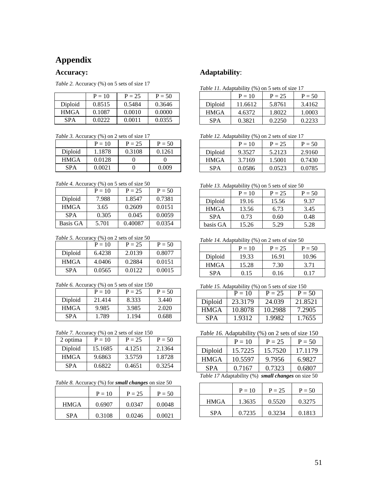### **Appendix**

#### **Accuracy:**

*Table 2.* Accuracy (%) on 5 sets of size 17

|             | $P = 10$ | $P = 25$ | $P = 50$ |
|-------------|----------|----------|----------|
| Diploid     | 0.8515   | 0.5484   | 0.3646   |
| <b>HMGA</b> | 0.1087   | 0.0010   | 0.0000   |
| <b>SPA</b>  | 0.0222   | 0.0011   | 0.0355   |

*Table 3.* Accuracy (%) on 2 sets of size 17

|             | $P = 10$ | $P = 25$ | $P = 50$ |
|-------------|----------|----------|----------|
| Diploid     | 1.1878   | 0.3108   | 0.1261   |
| <b>HMGA</b> | 0.0128   |          |          |
| SPA         | 0.0021   |          | 0.009    |

*Table 4.* Accuracy (%) on 5 sets of size 50

|             | $P = 10$ | $P = 25$ | $P = 50$ |
|-------------|----------|----------|----------|
| Diploid     | 7.988    | 1.8547   | 0.7381   |
| <b>HMGA</b> | 3.65     | 0.2609   | 0.0151   |
| <b>SPA</b>  | 0.305    | 0.045    | 0.0059   |
| Basis GA    | 5.701    | 0.40087  | 0.0354   |

*Table 5.* Accuracy (%) on 2 sets of size 50

|             | $P = 10$ | $P = 25$ | $P = 50$ |
|-------------|----------|----------|----------|
| Diploid     | 6.4238   | 2.0139   | 0.8077   |
| <b>HMGA</b> | 4.0406   | 0.2884   | 0.0151   |
| <b>SPA</b>  | 0.0565   | 0.0122   | 0.0015   |

|  |  | Table 6. Accuracy (%) on 5 sets of size 150 |  |
|--|--|---------------------------------------------|--|
|  |  |                                             |  |

|             | $P = 10$ | $P = 25$ | $P = 50$ |
|-------------|----------|----------|----------|
| Diploid     | 21.414   | 8.333    | 3.440    |
| <b>HMGA</b> | 9.985    | 3.985    | 2.020    |
| <b>SPA</b>  | 1.789    | 1.194    | 0.688    |

*Table 7.* Accuracy (%) on 2 sets of size 150

| 2 optima    | $P = 10$ | $P = 25$ | $P = 50$ |
|-------------|----------|----------|----------|
| Diploid     | 15.1685  | 4.1251   | 2.1364   |
| <b>HMGA</b> | 9.6863   | 3.5759   | 1.8728   |
| <b>SPA</b>  | 0.6822   | 0.4651   | 0.3254   |

|  | Table 8. Accuracy (%) for small changes on size 50 |  |  |  |
|--|----------------------------------------------------|--|--|--|
|--|----------------------------------------------------|--|--|--|

|             | $P = 10$ | $P = 25$ | $P = 50$ |
|-------------|----------|----------|----------|
| <b>HMGA</b> | 0.6907   | 0.0347   | 0.0048   |
| <b>SPA</b>  | 0.3108   | 0.0246   | 0.0021   |

#### **Adaptability**:

|             | $\cdots$ |          |          |
|-------------|----------|----------|----------|
|             | $P = 10$ | $P = 25$ | $P = 50$ |
| Diploid     | 11.6612  | 5.8761   | 3.4162   |
| <b>HMGA</b> | 4.6372   | 1.8022   | 1.0003   |
| <b>SPA</b>  | 0.3821   | 0.2250   | 0.2233   |

*Table 12.* Adaptability (%) on 2 sets of size 17

|             | $P = 10$ | $P = 25$ | $P = 50$ |
|-------------|----------|----------|----------|
| Diploid     | 9.3527   | 5.2123   | 2.9160   |
| <b>HMGA</b> | 3.7169   | 1.5001   | 0.7430   |
| <b>SPA</b>  | 0.0586   | 0.0523   | 0.0785   |

*Table 13.* Adaptability (%) on 5 sets of size 50

|             | $P = 10$ | $P = 25$ | $P = 50$ |
|-------------|----------|----------|----------|
| Diploid     | 19.16    | 15.56    | 9.37     |
| <b>HMGA</b> | 13.56    | 6.73     | 3.45     |
| <b>SPA</b>  | 0.73     | 0.60     | 0.48     |
| basis GA    | 15.26    | 5.29     | 5.28     |

*Table 14.* Adaptability (%) on 2 sets of size 50

|             | $P = 10$ | $P = 25$ | $P = 50$ |
|-------------|----------|----------|----------|
| Diploid     | 19.33    | 16.91    | 10.96    |
| <b>HMGA</b> | 15.28    | 7.30     | 3.71     |
| <b>SPA</b>  | 0.15     | 0.16     | 0.17     |

|  | Table 15. Adaptability (%) on 5 sets of size 150 |  |
|--|--------------------------------------------------|--|
|  |                                                  |  |

|             | $P = 10$ | $P = 25$ | $P = 50$ |
|-------------|----------|----------|----------|
| Diploid     | 23.3179  | 24.039   | 21.8521  |
| <b>HMGA</b> | 10.8078  | 10.2988  | 7.2905   |
| <b>SPA</b>  | 1.9312   | 1.9982   | 1.7655   |

*Table 16.* Adaptability (%) on 2 sets of size 150

|             | $P = 10$                                                        | $P = 25$     | $P = 50$ |
|-------------|-----------------------------------------------------------------|--------------|----------|
| Diploid     | 15.7225                                                         | 15.7520      | 17.1179  |
| <b>HMGA</b> | 10.5597                                                         | 9.7956       | 6.9827   |
| <b>SPA</b>  | 0.7167                                                          | 0.7323       | 0.6807   |
| $-11$       | $\mathbf{r}$ and $\mathbf{r}$ and $\mathbf{r}$ and $\mathbf{r}$ | $\mathbf{v}$ |          |

*Table 17* Adaptability (%) *small changes* on size 50

|             | $P = 10$ | $P = 25$ | $P = 50$ |
|-------------|----------|----------|----------|
| <b>HMGA</b> | 1.3635   | 0.5520   | 0.3275   |
| <b>SPA</b>  | 0.7235   | 0.3234   | 0.1813   |